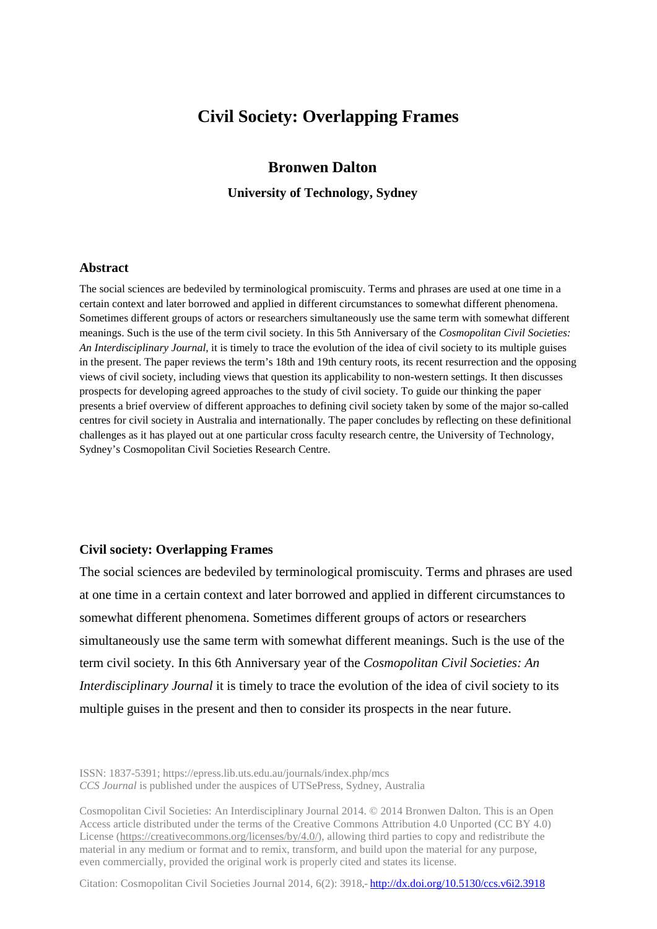# **Civil Society: Overlapping Frames**

## **Bronwen Dalton**

## **University of Technology, Sydney**

#### **Abstract**

The social sciences are bedeviled by terminological promiscuity. Terms and phrases are used at one time in a certain context and later borrowed and applied in different circumstances to somewhat different phenomena. Sometimes different groups of actors or researchers simultaneously use the same term with somewhat different meanings. Such is the use of the term civil society. In this 5th Anniversary of the *Cosmopolitan Civil Societies: An Interdisciplinary Journal,* it is timely to trace the evolution of the idea of civil society to its multiple guises in the present. The paper reviews the term's 18th and 19th century roots, its recent resurrection and the opposing views of civil society, including views that question its applicability to non-western settings. It then discusses prospects for developing agreed approaches to the study of civil society. To guide our thinking the paper presents a brief overview of different approaches to defining civil society taken by some of the major so-called centres for civil society in Australia and internationally. The paper concludes by reflecting on these definitional challenges as it has played out at one particular cross faculty research centre, the University of Technology, Sydney's Cosmopolitan Civil Societies Research Centre.

## **Civil society: Overlapping Frames**

The social sciences are bedeviled by terminological promiscuity. Terms and phrases are used at one time in a certain context and later borrowed and applied in different circumstances to somewhat different phenomena. Sometimes different groups of actors or researchers simultaneously use the same term with somewhat different meanings. Such is the use of the term civil society. In this 6th Anniversary year of the *Cosmopolitan Civil Societies: An Interdisciplinary Journal* it is timely to trace the evolution of the idea of civil society to its multiple guises in the present and then to consider its prospects in the near future.

ISSN: 1837-5391; https://epress.lib.uts.edu.au/journals/index.php/mcs *CCS Journal* is published under the auspices of UTSePress, Sydney, Australia

Cosmopolitan Civil Societies: An Interdisciplinary Journal 2014. © 2014 Bronwen Dalton. This is an Open Access article distributed under the terms of the Creative Commons Attribution 4.0 Unported (CC BY 4.0) License [\(https://creativecommons.org/licenses/by/4.0/\)](https://creativecommons.org/licenses/by/4.0/), allowing third parties to copy and redistribute the material in any medium or format and to remix, transform, and build upon the material for any purpose, even commercially, provided the original work is properly cited and states its license.

Citation: Cosmopolitan Civil Societies Journal 2014, 6(2): 3918,- <http://dx.doi.org/10.5130/ccs.v6i2.3918>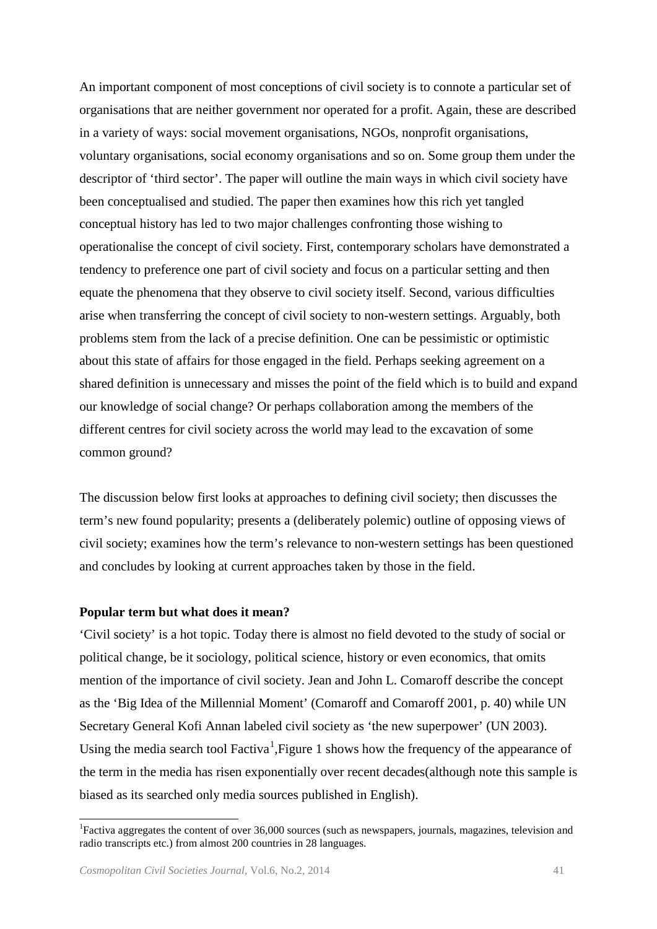An important component of most conceptions of civil society is to connote a particular set of organisations that are neither government nor operated for a profit. Again, these are described in a variety of ways: social movement organisations, NGOs, nonprofit organisations, voluntary organisations, social economy organisations and so on. Some group them under the descriptor of 'third sector'. The paper will outline the main ways in which civil society have been conceptualised and studied. The paper then examines how this rich yet tangled conceptual history has led to two major challenges confronting those wishing to operationalise the concept of civil society. First, contemporary scholars have demonstrated a tendency to preference one part of civil society and focus on a particular setting and then equate the phenomena that they observe to civil society itself. Second, various difficulties arise when transferring the concept of civil society to non-western settings. Arguably, both problems stem from the lack of a precise definition. One can be pessimistic or optimistic about this state of affairs for those engaged in the field. Perhaps seeking agreement on a shared definition is unnecessary and misses the point of the field which is to build and expand our knowledge of social change? Or perhaps collaboration among the members of the different centres for civil society across the world may lead to the excavation of some common ground?

The discussion below first looks at approaches to defining civil society; then discusses the term's new found popularity; presents a (deliberately polemic) outline of opposing views of civil society; examines how the term's relevance to non-western settings has been questioned and concludes by looking at current approaches taken by those in the field.

#### **Popular term but what does it mean?**

'Civil society' is a hot topic. Today there is almost no field devoted to the study of social or political change, be it sociology, political science, history or even economics, that omits mention of the importance of civil society. Jean and John L. Comaroff describe the concept as the 'Big Idea of the Millennial Moment' (Comaroff and Comaroff 2001, p. 40) while UN Secretary General Kofi Annan labeled civil society as 'the new superpower' (UN 2003). Using the media search tool Factiva<sup>[1](#page-1-0)</sup>, Figure 1 shows how the frequency of the appearance of the term in the media has risen exponentially over recent decades(although note this sample is biased as its searched only media sources published in English).

<span id="page-1-0"></span><sup>&</sup>lt;sup>1</sup> Factiva aggregates the content of over 36,000 sources (such as newspapers, journals, magazines, television and radio transcripts etc.) from almost 200 countries in 28 languages.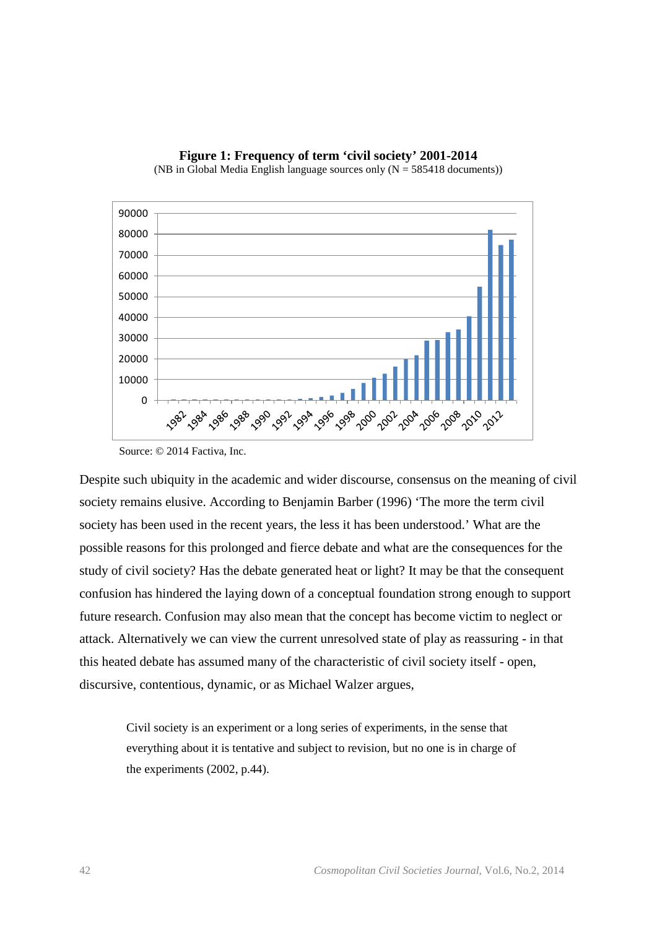



(NB in Global Media English language sources only  $(N = 585418$  documents))

Despite such ubiquity in the academic and wider discourse, consensus on the meaning of civil society remains elusive. According to Benjamin Barber (1996) 'The more the term civil society has been used in the recent years, the less it has been understood.' What are the possible reasons for this prolonged and fierce debate and what are the consequences for the study of civil society? Has the debate generated heat or light? It may be that the consequent confusion has hindered the laying down of a conceptual foundation strong enough to support future research. Confusion may also mean that the concept has become victim to neglect or attack. Alternatively we can view the current unresolved state of play as reassuring - in that this heated debate has assumed many of the characteristic of civil society itself - open, discursive, contentious, dynamic, or as Michael Walzer argues,

Civil society is an experiment or a long series of experiments, in the sense that everything about it is tentative and subject to revision, but no one is in charge of the experiments (2002, p.44).

Source: © 2014 Factiva, Inc.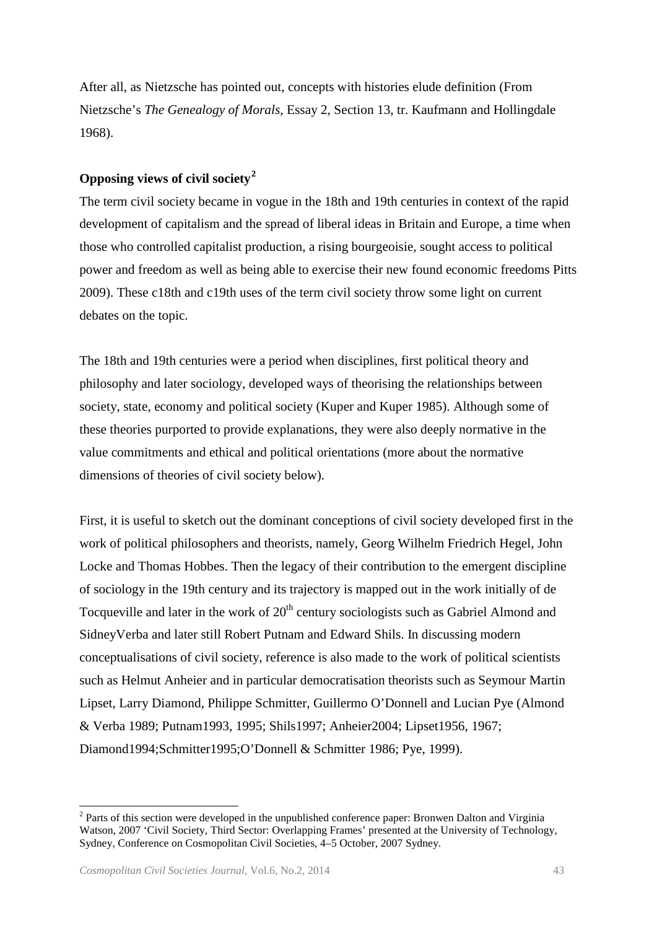After all, as Nietzsche has pointed out, concepts with histories elude definition (From Nietzsche's *The Genealogy of Morals*, Essay 2, Section 13, tr. Kaufmann and Hollingdale 1968).

## **Opposing views of civil society[2](#page-3-0)**

The term civil society became in vogue in the 18th and 19th centuries in context of the rapid development of capitalism and the spread of liberal ideas in Britain and Europe, a time when those who controlled capitalist production, a rising bourgeoisie, sought access to political power and freedom as well as being able to exercise their new found economic freedoms Pitts 2009). These c18th and c19th uses of the term civil society throw some light on current debates on the topic.

The 18th and 19th centuries were a period when disciplines, first political theory and philosophy and later sociology, developed ways of theorising the relationships between society, state, economy and political society (Kuper and Kuper 1985). Although some of these theories purported to provide explanations, they were also deeply normative in the value commitments and ethical and political orientations (more about the normative dimensions of theories of civil society below).

First, it is useful to sketch out the dominant conceptions of civil society developed first in the work of political philosophers and theorists, namely, Georg Wilhelm Friedrich Hegel, John Locke and Thomas Hobbes. Then the legacy of their contribution to the emergent discipline of sociology in the 19th century and its trajectory is mapped out in the work initially of de Tocqueville and later in the work of  $20<sup>th</sup>$  century sociologists such as Gabriel Almond and SidneyVerba and later still Robert Putnam and Edward Shils. In discussing modern conceptualisations of civil society, reference is also made to the work of political scientists such as Helmut Anheier and in particular democratisation theorists such as Seymour Martin Lipset, Larry Diamond, Philippe Schmitter, Guillermo O'Donnell and Lucian Pye (Almond & Verba 1989; Putnam1993, 1995; Shils1997; Anheier2004; Lipset1956, 1967; Diamond1994;Schmitter1995;O'Donnell & Schmitter 1986; Pye, 1999).

<span id="page-3-0"></span> <sup>2</sup> Parts of this section were developed in the unpublished conference paper: Bronwen Dalton and Virginia Watson, 2007 'Civil Society, Third Sector: Overlapping Frames' presented at the University of Technology, Sydney, Conference on Cosmopolitan Civil Societies, 4–5 October, 2007 Sydney.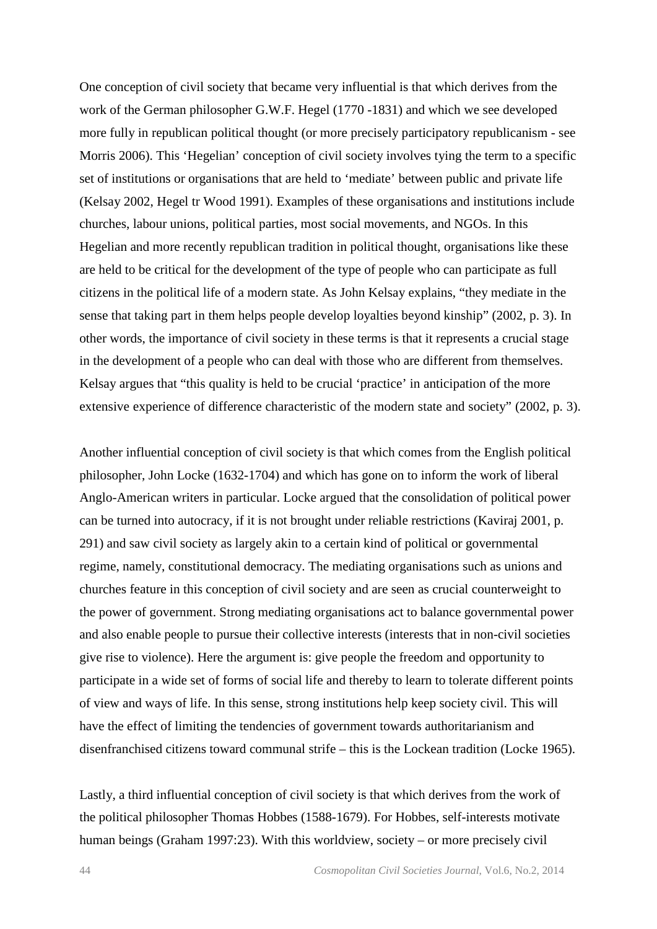One conception of civil society that became very influential is that which derives from the work of the German philosopher G.W.F. Hegel (1770 -1831) and which we see developed more fully in republican political thought (or more precisely participatory republicanism - see Morris 2006). This 'Hegelian' conception of civil society involves tying the term to a specific set of institutions or organisations that are held to 'mediate' between public and private life (Kelsay 2002, Hegel tr Wood 1991). Examples of these organisations and institutions include churches, labour unions, political parties, most social movements, and NGOs. In this Hegelian and more recently republican tradition in political thought, organisations like these are held to be critical for the development of the type of people who can participate as full citizens in the political life of a modern state. As John Kelsay explains, "they mediate in the sense that taking part in them helps people develop loyalties beyond kinship" (2002, p. 3). In other words, the importance of civil society in these terms is that it represents a crucial stage in the development of a people who can deal with those who are different from themselves. Kelsay argues that "this quality is held to be crucial 'practice' in anticipation of the more extensive experience of difference characteristic of the modern state and society" (2002, p. 3).

Another influential conception of civil society is that which comes from the English political philosopher, John Locke (1632-1704) and which has gone on to inform the work of liberal Anglo-American writers in particular. Locke argued that the consolidation of political power can be turned into autocracy, if it is not brought under reliable restrictions (Kaviraj 2001, p. 291) and saw civil society as largely akin to a certain kind of political or governmental regime, namely, constitutional democracy. The mediating organisations such as unions and churches feature in this conception of civil society and are seen as crucial counterweight to the power of government. Strong mediating organisations act to balance governmental power and also enable people to pursue their collective interests (interests that in non-civil societies give rise to violence). Here the argument is: give people the freedom and opportunity to participate in a wide set of forms of social life and thereby to learn to tolerate different points of view and ways of life. In this sense, strong institutions help keep society civil. This will have the effect of limiting the tendencies of government towards authoritarianism and disenfranchised citizens toward communal strife – this is the Lockean tradition (Locke 1965).

Lastly, a third influential conception of civil society is that which derives from the work of the political philosopher Thomas Hobbes (1588-1679). For Hobbes, self-interests motivate human beings (Graham 1997:23). With this worldview, society – or more precisely civil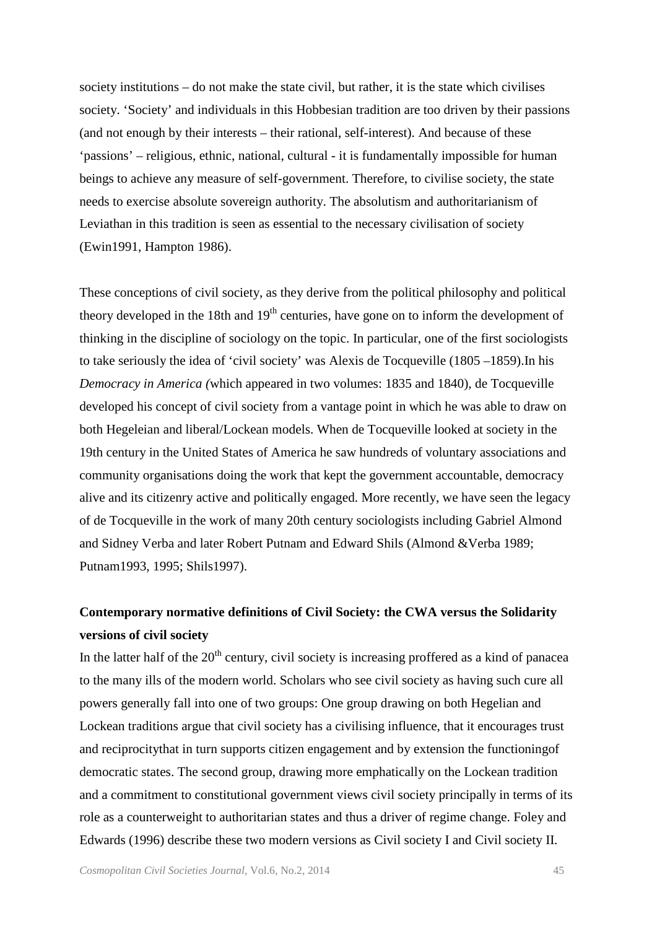society institutions – do not make the state civil, but rather, it is the state which civilises society. 'Society' and individuals in this Hobbesian tradition are too driven by their passions (and not enough by their interests – their rational, self-interest). And because of these 'passions' – religious, ethnic, national, cultural - it is fundamentally impossible for human beings to achieve any measure of self-government. Therefore, to civilise society, the state needs to exercise absolute sovereign authority. The absolutism and authoritarianism of Leviathan in this tradition is seen as essential to the necessary civilisation of society (Ewin1991, Hampton 1986).

These conceptions of civil society, as they derive from the political philosophy and political theory developed in the 18th and  $19<sup>th</sup>$  centuries, have gone on to inform the development of thinking in the discipline of sociology on the topic. In particular, one of the first sociologists to take seriously the idea of 'civil society' was Alexis de Tocqueville (1805 –1859).In his *Democracy in America (*which appeared in two volumes: 1835 and 1840)*,* de Tocqueville developed his concept of civil society from a vantage point in which he was able to draw on both Hegeleian and liberal/Lockean models. When de Tocqueville looked at society in the 19th century in the United States of America he saw hundreds of voluntary associations and community organisations doing the work that kept the government accountable, democracy alive and its citizenry active and politically engaged. More recently, we have seen the legacy of de Tocqueville in the work of many 20th century sociologists including Gabriel Almond and Sidney Verba and later Robert Putnam and Edward Shils (Almond &Verba 1989; Putnam1993, 1995; Shils1997).

# **Contemporary normative definitions of Civil Society: the CWA versus the Solidarity versions of civil society**

In the latter half of the  $20<sup>th</sup>$  century, civil society is increasing proffered as a kind of panacea to the many ills of the modern world. Scholars who see civil society as having such cure all powers generally fall into one of two groups: One group drawing on both Hegelian and Lockean traditions argue that civil society has a civilising influence, that it encourages trust and reciprocitythat in turn supports citizen engagement and by extension the functioningof democratic states. The second group, drawing more emphatically on the Lockean tradition and a commitment to constitutional government views civil society principally in terms of its role as a counterweight to authoritarian states and thus a driver of regime change. Foley and Edwards (1996) describe these two modern versions as Civil society I and Civil society II.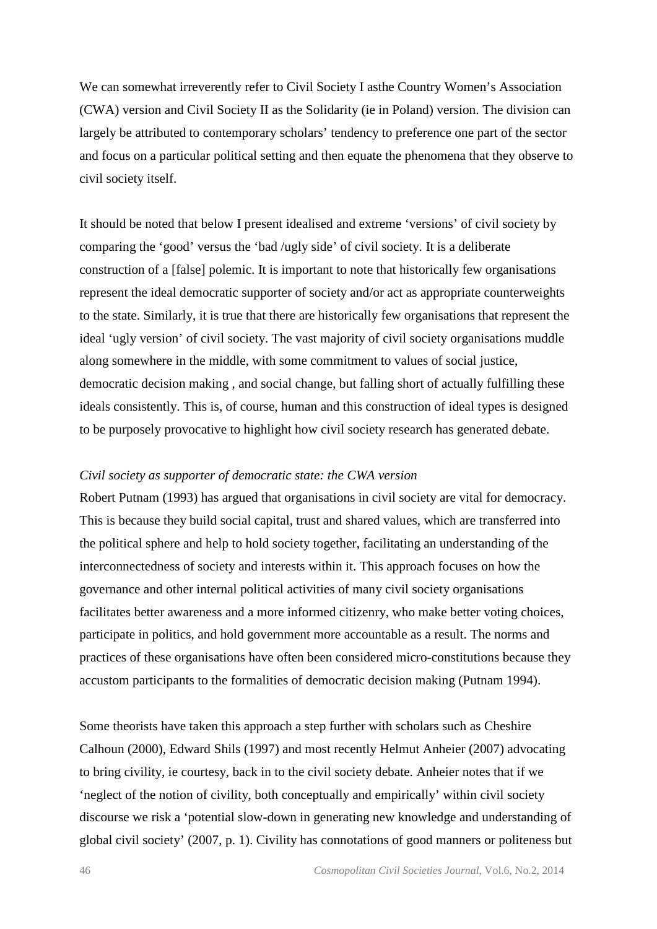We can somewhat irreverently refer to Civil Society I asthe Country Women's Association (CWA) version and Civil Society II as the Solidarity (ie in Poland) version. The division can largely be attributed to contemporary scholars' tendency to preference one part of the sector and focus on a particular political setting and then equate the phenomena that they observe to civil society itself.

It should be noted that below I present idealised and extreme 'versions' of civil society by comparing the 'good' versus the 'bad /ugly side' of civil society. It is a deliberate construction of a [false] polemic. It is important to note that historically few organisations represent the ideal democratic supporter of society and/or act as appropriate counterweights to the state. Similarly, it is true that there are historically few organisations that represent the ideal 'ugly version' of civil society. The vast majority of civil society organisations muddle along somewhere in the middle, with some commitment to values of social justice, democratic decision making , and social change, but falling short of actually fulfilling these ideals consistently. This is, of course, human and this construction of ideal types is designed to be purposely provocative to highlight how civil society research has generated debate.

## *Civil society as supporter of democratic state: the CWA version*

Robert Putnam (1993) has argued that organisations in civil society are vital for democracy. This is because they build social capital, trust and shared values, which are transferred into the political sphere and help to hold society together, facilitating an understanding of the interconnectedness of society and interests within it. This approach focuses on how the governance and other internal political activities of many civil society organisations facilitates better awareness and a more informed citizenry, who make better voting choices, participate in politics, and hold government more accountable as a result. The norms and practices of these organisations have often been considered micro-constitutions because they accustom participants to the formalities of democratic decision making (Putnam 1994).

Some theorists have taken this approach a step further with scholars such as Cheshire Calhoun (2000), Edward Shils (1997) and most recently Helmut Anheier (2007) advocating to bring civility, ie courtesy, back in to the civil society debate. Anheier notes that if we 'neglect of the notion of civility, both conceptually and empirically' within civil society discourse we risk a 'potential slow-down in generating new knowledge and understanding of global civil society' (2007, p. 1). Civility has connotations of good manners or politeness but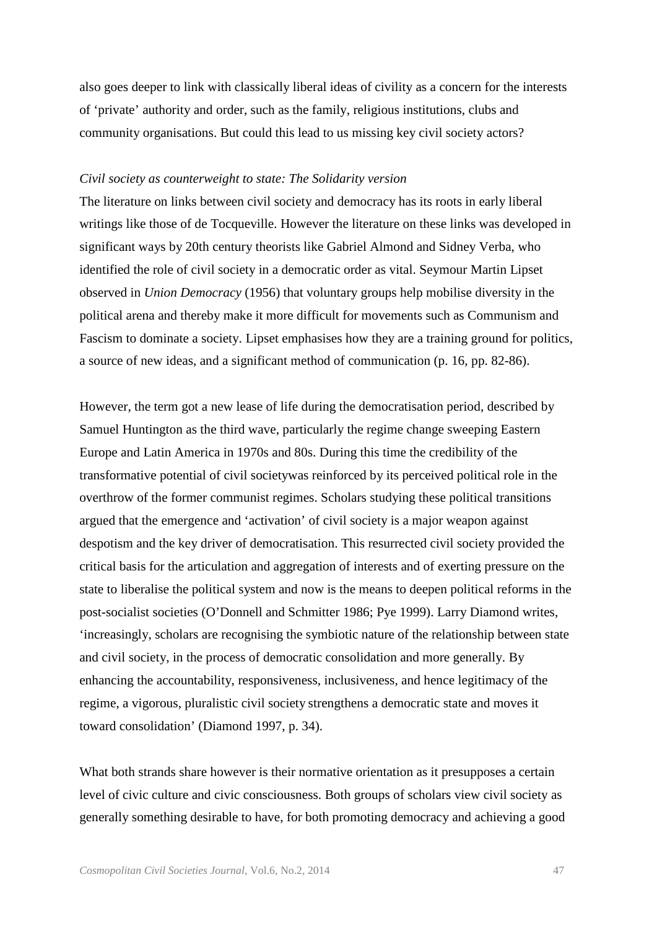also goes deeper to link with classically liberal ideas of civility as a concern for the interests of 'private' authority and order, such as the family, religious institutions, clubs and community organisations. But could this lead to us missing key civil society actors?

#### *Civil society as counterweight to state: The Solidarity version*

The literature on links between civil society and democracy has its roots in early liberal writings like those of de Tocqueville. However the literature on these links was developed in significant ways by 20th century theorists like Gabriel Almond and Sidney Verba, who identified the role of civil society in a democratic order as vital. Seymour Martin Lipset observed in *Union Democracy* (1956) that voluntary groups help mobilise diversity in the political arena and thereby make it more difficult for movements such as Communism and Fascism to dominate a society. Lipset emphasises how they are a training ground for politics, a source of new ideas, and a significant method of communication (p. 16, pp. 82-86).

However, the term got a new lease of life during the democratisation period, described by Samuel Huntington as the third wave, particularly the regime change sweeping Eastern Europe and Latin America in 1970s and 80s. During this time the credibility of the transformative potential of civil societywas reinforced by its perceived political role in the overthrow of the former communist regimes. Scholars studying these political transitions argued that the emergence and 'activation' of civil society is a major weapon against despotism and the key driver of democratisation. This resurrected civil society provided the critical basis for the articulation and aggregation of interests and of exerting pressure on the state to liberalise the political system and now is the means to deepen political reforms in the post-socialist societies (O'Donnell and Schmitter 1986; Pye 1999). Larry Diamond writes, 'increasingly, scholars are recognising the symbiotic nature of the relationship between state and civil society, in the process of democratic consolidation and more generally. By enhancing the accountability, responsiveness, inclusiveness, and hence legitimacy of the regime, a vigorous, pluralistic civil society strengthens a democratic state and moves it toward consolidation' (Diamond 1997, p. 34).

What both strands share however is their normative orientation as it presupposes a certain level of civic culture and civic consciousness. Both groups of scholars view civil society as generally something desirable to have, for both promoting democracy and achieving a good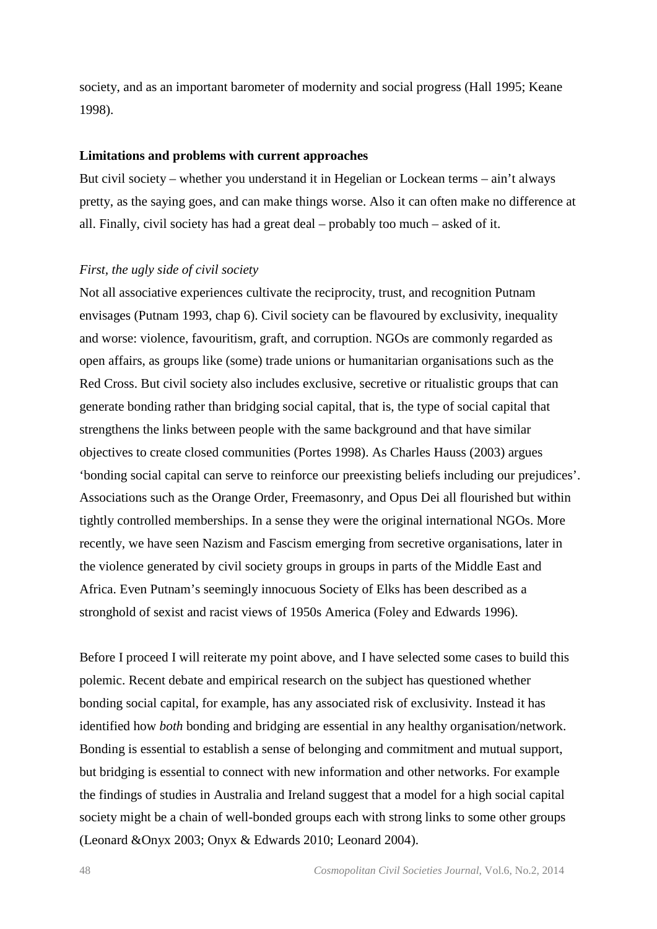society, and as an important barometer of modernity and social progress (Hall 1995; Keane 1998).

#### **Limitations and problems with current approaches**

But civil society – whether you understand it in Hegelian or Lockean terms – ain't always pretty, as the saying goes, and can make things worse. Also it can often make no difference at all. Finally, civil society has had a great deal – probably too much – asked of it.

#### *First, the ugly side of civil society*

Not all associative experiences cultivate the reciprocity, trust, and recognition Putnam envisages (Putnam 1993, chap 6). Civil society can be flavoured by exclusivity, inequality and worse: violence, favouritism, graft, and corruption. NGOs are commonly regarded as open affairs, as groups like (some) trade unions or humanitarian organisations such as the Red Cross. But civil society also includes exclusive, secretive or ritualistic groups that can generate bonding rather than bridging social capital, that is, the type of social capital that strengthens the links between people with the same background and that have similar objectives to create closed communities (Portes 1998). As Charles Hauss (2003) argues 'bonding social capital can serve to reinforce our preexisting beliefs including our prejudices'. Associations such as the Orange Order, Freemasonry, and Opus Dei all flourished but within tightly controlled memberships. In a sense they were the original international NGOs. More recently, we have seen Nazism and Fascism emerging from secretive organisations, later in the violence generated by civil society groups in groups in parts of the Middle East and Africa. Even Putnam's seemingly innocuous Society of Elks has been described as a stronghold of sexist and racist views of 1950s America (Foley and Edwards 1996).

Before I proceed I will reiterate my point above, and I have selected some cases to build this polemic. Recent debate and empirical research on the subject has questioned whether bonding social capital, for example, has any associated risk of exclusivity. Instead it has identified how *both* bonding and bridging are essential in any healthy organisation/network. Bonding is essential to establish a sense of belonging and commitment and mutual support, but bridging is essential to connect with new information and other networks. For example the findings of studies in Australia and Ireland suggest that a model for a high social capital society might be a chain of well-bonded groups each with strong links to some other groups (Leonard [&Onyx](http://www.uts.edu.au/staff/jennifer.onyx) 2003; Onyx & Edwards 2010; Leonard 2004).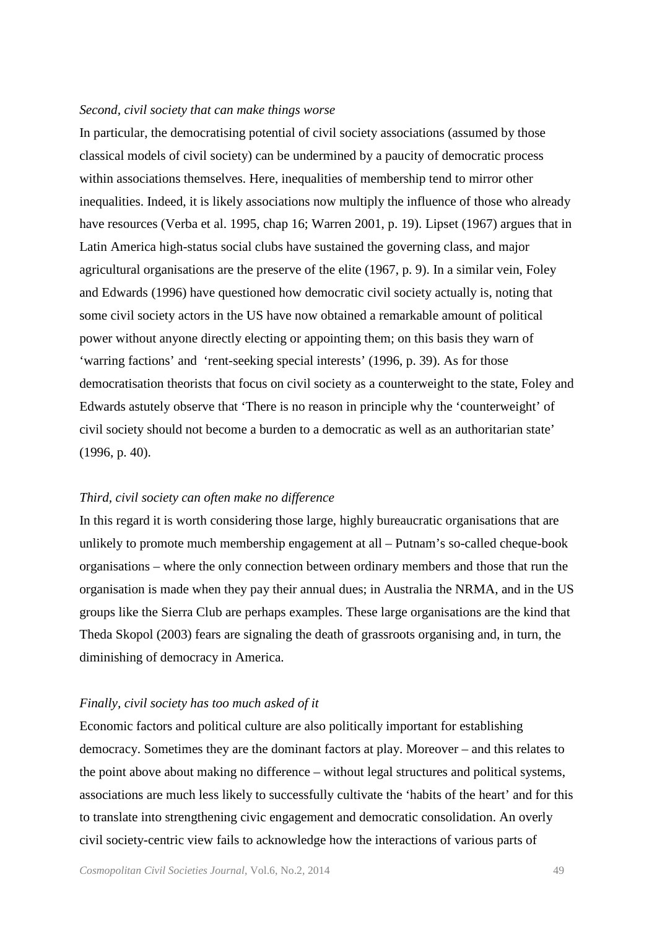#### *Second, civil society that can make things worse*

In particular, the democratising potential of civil society associations (assumed by those classical models of civil society) can be undermined by a paucity of democratic process within associations themselves. Here, inequalities of membership tend to mirror other inequalities. Indeed, it is likely associations now multiply the influence of those who already have resources (Verba et al. 1995, chap 16; Warren 2001, p. 19). Lipset (1967) argues that in Latin America high-status social clubs have sustained the governing class, and major agricultural organisations are the preserve of the elite (1967, p. 9). In a similar vein, Foley and Edwards (1996) have questioned how democratic civil society actually is, noting that some civil society actors in the US have now obtained a remarkable amount of political power without anyone directly electing or appointing them; on this basis they warn of 'warring factions' and 'rent-seeking special interests' (1996, p. 39). As for those democratisation theorists that focus on civil society as a counterweight to the state, Foley and Edwards astutely observe that 'There is no reason in principle why the 'counterweight' of civil society should not become a burden to a democratic as well as an authoritarian state' (1996, p. 40).

#### *Third, civil society can often make no difference*

In this regard it is worth considering those large, highly bureaucratic organisations that are unlikely to promote much membership engagement at all – Putnam's so-called cheque-book organisations – where the only connection between ordinary members and those that run the organisation is made when they pay their annual dues; in Australia the NRMA, and in the US groups like the Sierra Club are perhaps examples. These large organisations are the kind that Theda Skopol (2003) fears are signaling the death of grassroots organising and, in turn, the diminishing of democracy in America.

#### *Finally, civil society has too much asked of it*

Economic factors and political culture are also politically important for establishing democracy. Sometimes they are the dominant factors at play. Moreover – and this relates to the point above about making no difference – without legal structures and political systems, associations are much less likely to successfully cultivate the 'habits of the heart' and for this to translate into strengthening civic engagement and democratic consolidation. An overly civil society-centric view fails to acknowledge how the interactions of various parts of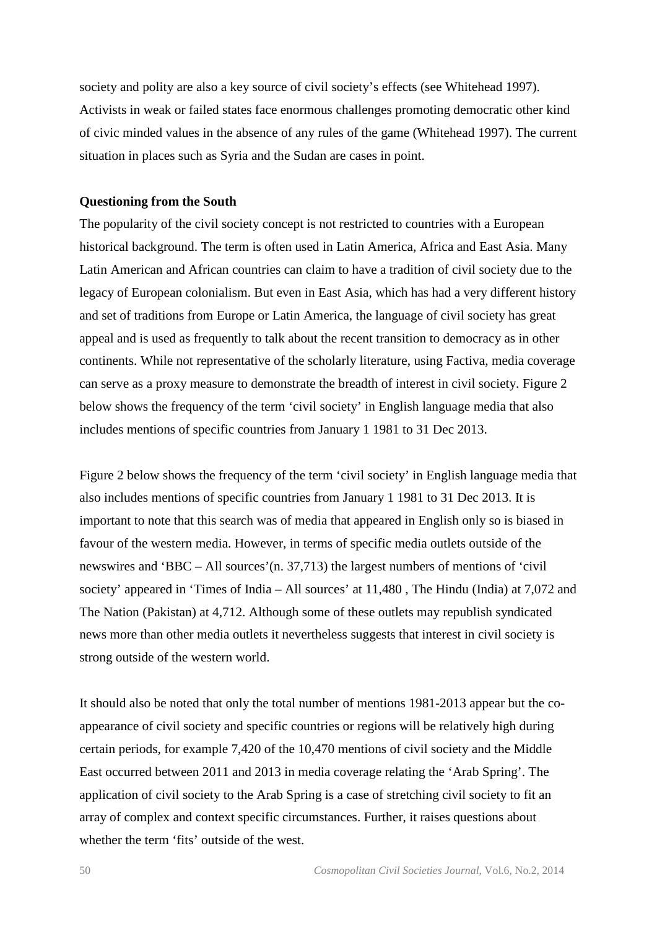society and polity are also a key source of civil society's effects (see Whitehead 1997). Activists in weak or failed states face enormous challenges promoting democratic other kind of civic minded values in the absence of any rules of the game (Whitehead 1997). The current situation in places such as Syria and the Sudan are cases in point.

#### **Questioning from the South**

The popularity of the civil society concept is not restricted to countries with a European historical background. The term is often used in Latin America, Africa and East Asia. Many Latin American and African countries can claim to have a tradition of civil society due to the legacy of European colonialism. But even in East Asia, which has had a very different history and set of traditions from Europe or Latin America, the language of civil society has great appeal and is used as frequently to talk about the recent transition to democracy as in other continents. While not representative of the scholarly literature, using Factiva, media coverage can serve as a proxy measure to demonstrate the breadth of interest in civil society. Figure 2 below shows the frequency of the term 'civil society' in English language media that also includes mentions of specific countries from January 1 1981 to 31 Dec 2013.

Figure 2 below shows the frequency of the term 'civil society' in English language media that also includes mentions of specific countries from January 1 1981 to 31 Dec 2013. It is important to note that this search was of media that appeared in English only so is biased in favour of the western media. However, in terms of specific media outlets outside of the newswires and 'BBC – All sources'(n. 37,713) the largest numbers of mentions of 'civil society' appeared in 'Times of India – All sources' at 11,480 , The Hindu (India) at 7,072 and The Nation (Pakistan) at 4,712. Although some of these outlets may republish syndicated news more than other media outlets it nevertheless suggests that interest in civil society is strong outside of the western world.

It should also be noted that only the total number of mentions 1981-2013 appear but the coappearance of civil society and specific countries or regions will be relatively high during certain periods, for example 7,420 of the 10,470 mentions of civil society and the Middle East occurred between 2011 and 2013 in media coverage relating the 'Arab Spring'. The application of civil society to the Arab Spring is a case of stretching civil society to fit an array of complex and context specific circumstances. Further, it raises questions about whether the term 'fits' outside of the west.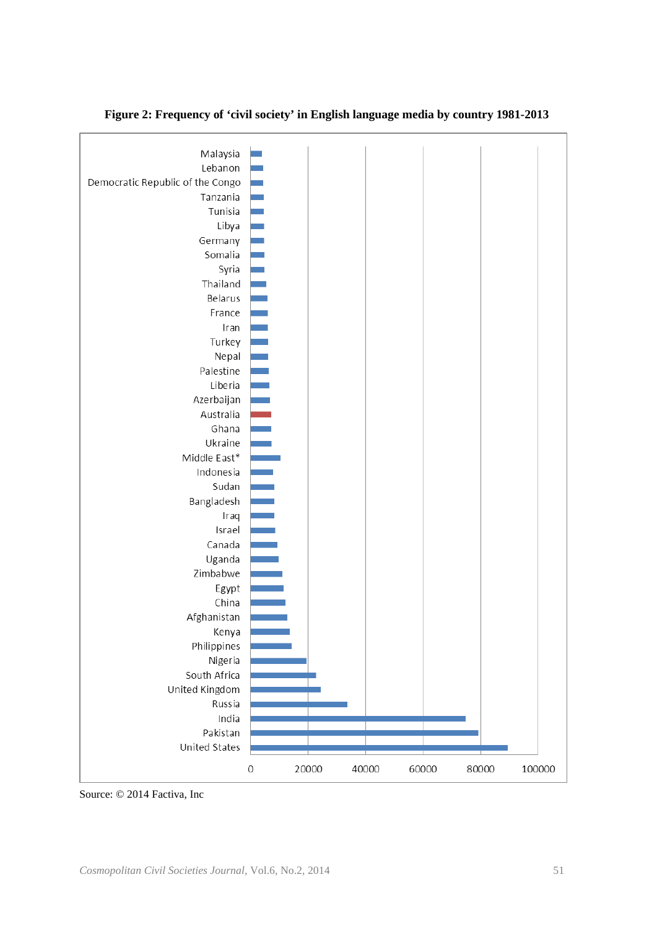

## **Figure 2: Frequency of 'civil society' in English language media by country 1981-2013**

Source: © 2014 Factiva, Inc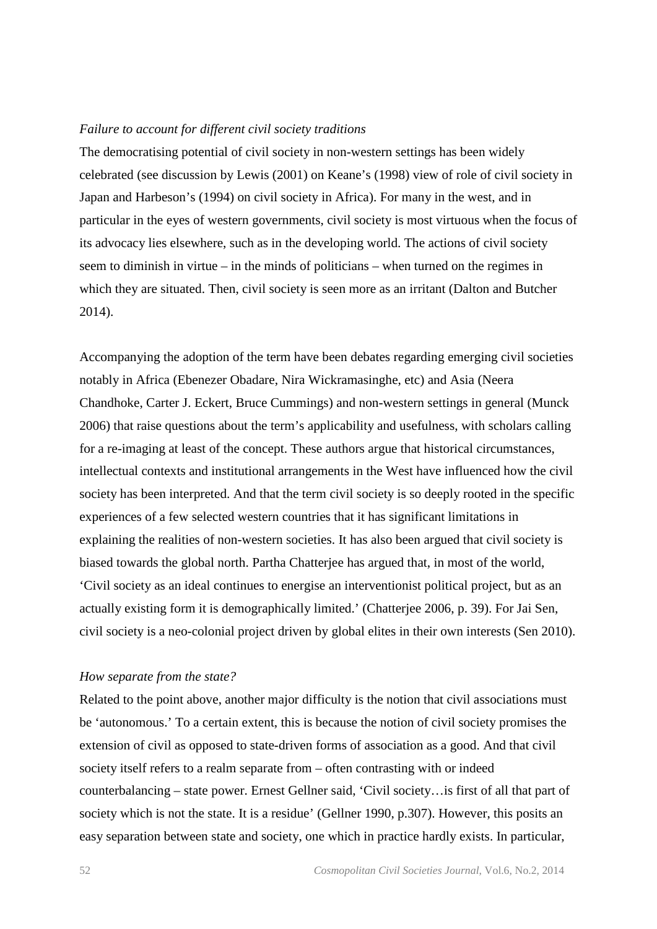#### *Failure to account for different civil society traditions*

The democratising potential of civil society in non-western settings has been widely celebrated (see discussion by Lewis (2001) on Keane's (1998) view of role of civil society in Japan and Harbeson's (1994) on civil society in Africa). For many in the west, and in particular in the eyes of western governments, civil society is most virtuous when the focus of its advocacy lies elsewhere, such as in the developing world. The actions of civil society seem to diminish in virtue – in the minds of politicians – when turned on the regimes in which they are situated. Then, civil society is seen more as an irritant (Dalton and Butcher 2014).

Accompanying the adoption of the term have been debates regarding emerging civil societies notably in Africa (Ebenezer Obadare, Nira Wickramasinghe, etc) and Asia (Neera Chandhoke, Carter J. Eckert, Bruce Cummings) and non-western settings in general (Munck 2006) that raise questions about the term's applicability and usefulness, with scholars calling for a re-imaging at least of the concept. These authors argue that historical circumstances, intellectual contexts and institutional arrangements in the West have influenced how the civil society has been interpreted. And that the term civil society is so deeply rooted in the specific experiences of a few selected western countries that it has significant limitations in explaining the realities of non-western societies. It has also been argued that civil society is biased towards the global north. Partha Chatterjee has argued that, in most of the world, 'Civil society as an ideal continues to energise an interventionist political project, but as an actually existing form it is demographically limited.' (Chatterjee 2006, p. 39). For Jai Sen, civil society is a neo-colonial project driven by global elites in their own interests (Sen 2010).

#### *How separate from the state?*

Related to the point above, another major difficulty is the notion that civil associations must be 'autonomous.' To a certain extent, this is because the notion of civil society promises the extension of civil as opposed to state-driven forms of association as a good. And that civil society itself refers to a realm separate from – often contrasting with or indeed counterbalancing – state power. Ernest Gellner said, 'Civil society…is first of all that part of society which is not the state. It is a residue' (Gellner 1990, p.307). However, this posits an easy separation between state and society, one which in practice hardly exists. In particular,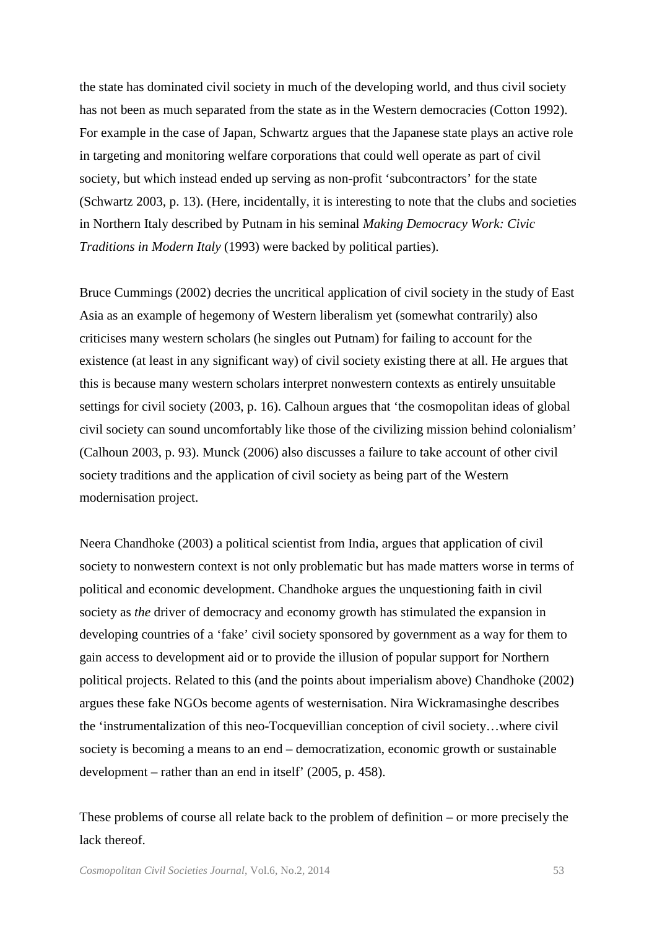the state has dominated civil society in much of the developing world, and thus civil society has not been as much separated from the state as in the Western democracies (Cotton 1992). For example in the case of Japan, Schwartz argues that the Japanese state plays an active role in targeting and monitoring welfare corporations that could well operate as part of civil society, but which instead ended up serving as non-profit 'subcontractors' for the state (Schwartz 2003, p. 13). (Here, incidentally, it is interesting to note that the clubs and societies in Northern Italy described by Putnam in his seminal *Making Democracy Work: Civic Traditions in Modern Italy* (1993) were backed by political parties).

Bruce Cummings (2002) decries the uncritical application of civil society in the study of East Asia as an example of hegemony of Western liberalism yet (somewhat contrarily) also criticises many western scholars (he singles out Putnam) for failing to account for the existence (at least in any significant way) of civil society existing there at all. He argues that this is because many western scholars interpret nonwestern contexts as entirely unsuitable settings for civil society (2003, p. 16). Calhoun argues that 'the cosmopolitan ideas of global civil society can sound uncomfortably like those of the civilizing mission behind colonialism' (Calhoun 2003, p. 93). Munck (2006) also discusses a failure to take account of other civil society traditions and the application of civil society as being part of the Western modernisation project.

Neera Chandhoke (2003) a political scientist from India, argues that application of civil society to nonwestern context is not only problematic but has made matters worse in terms of political and economic development. Chandhoke argues the unquestioning faith in civil society as *the* driver of democracy and economy growth has stimulated the expansion in developing countries of a 'fake' civil society sponsored by government as a way for them to gain access to development aid or to provide the illusion of popular support for Northern political projects. Related to this (and the points about imperialism above) Chandhoke (2002) argues these fake NGOs become agents of westernisation. Nira Wickramasinghe describes the 'instrumentalization of this neo-Tocquevillian conception of civil society…where civil society is becoming a means to an end – democratization, economic growth or sustainable development – rather than an end in itself' (2005, p. 458).

These problems of course all relate back to the problem of definition – or more precisely the lack thereof.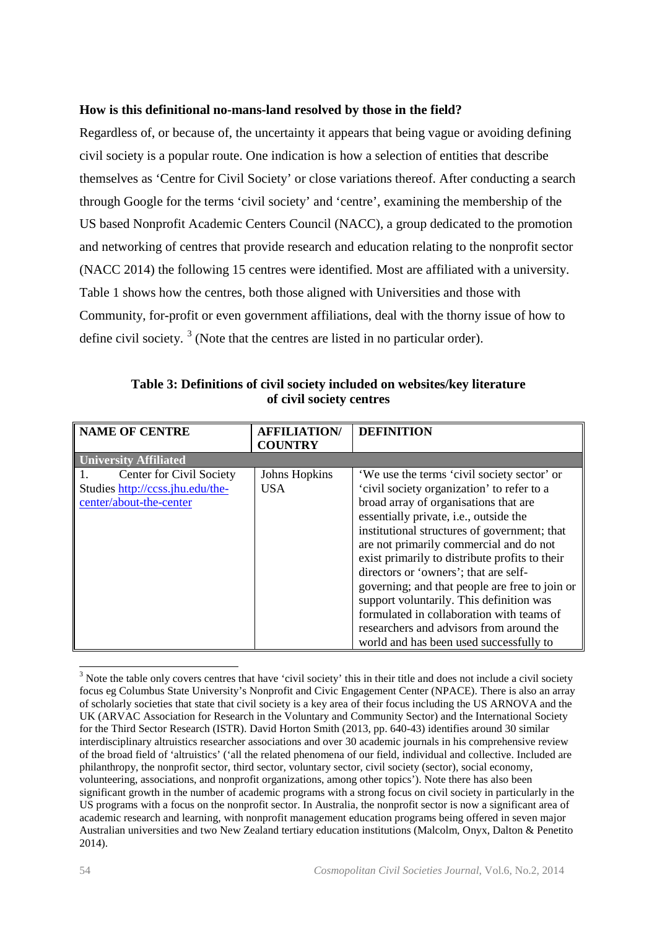## **How is this definitional no-mans-land resolved by those in the field?**

Regardless of, or because of, the uncertainty it appears that being vague or avoiding defining civil society is a popular route. One indication is how a selection of entities that describe themselves as 'Centre for Civil Society' or close variations thereof. After conducting a search through Google for the terms 'civil society' and 'centre', examining the membership of the US based Nonprofit Academic Centers Council (NACC), a group dedicated to the promotion and networking of centres that provide research and education relating to the nonprofit sector (NACC 2014) the following 15 centres were identified. Most are affiliated with a university. Table 1 shows how the centres, both those aligned with Universities and those with Community, for-profit or even government affiliations, deal with the thorny issue of how to define civil society.  $3$  (Note that the centres are listed in no particular order).

| <b>NAME OF CENTRE</b>                                                                   | <b>AFFILIATION/</b><br><b>COUNTRY</b> | <b>DEFINITION</b>                                                                                                                                                                                                                                                                                                                                                                                                                                                                                                                                                                                            |
|-----------------------------------------------------------------------------------------|---------------------------------------|--------------------------------------------------------------------------------------------------------------------------------------------------------------------------------------------------------------------------------------------------------------------------------------------------------------------------------------------------------------------------------------------------------------------------------------------------------------------------------------------------------------------------------------------------------------------------------------------------------------|
| <b>University Affiliated</b>                                                            |                                       |                                                                                                                                                                                                                                                                                                                                                                                                                                                                                                                                                                                                              |
| Center for Civil Society<br>Studies http://ccss.jhu.edu/the-<br>center/about-the-center | <b>Johns Hopkins</b><br>USA.          | 'We use the terms 'civil society sector' or<br>'civil society organization' to refer to a<br>broad array of organisations that are<br>essentially private, <i>i.e.</i> , outside the<br>institutional structures of government; that<br>are not primarily commercial and do not<br>exist primarily to distribute profits to their<br>directors or 'owners'; that are self-<br>governing; and that people are free to join or<br>support voluntarily. This definition was<br>formulated in collaboration with teams of<br>researchers and advisors from around the<br>world and has been used successfully to |

**Table 3: Definitions of civil society included on websites/key literature of civil society centres** 

<span id="page-14-0"></span> $3$  Note the table only covers centres that have 'civil society' this in their title and does not include a civil society focus eg Columbus State University's Nonprofit and Civic Engagement Center (NPACE). There is also an array of scholarly societies that state that civil society is a key area of their focus including the US ARNOVA and the UK (ARVAC Association for Research in the Voluntary and Community Sector) and the International Society for the Third Sector Research (ISTR). David Horton Smith (2013, pp. 640-43) identifies around 30 similar interdisciplinary altruistics researcher associations and over 30 academic journals in his comprehensive review of the broad field of 'altruistics' ('all the related phenomena of our field, individual and collective. Included are philanthropy, the nonprofit sector, third sector, voluntary sector, civil society (sector), social economy, volunteering, associations, and nonprofit organizations, among other topics'). Note there has also been significant growth in the number of academic programs with a strong focus on civil society in particularly in the US programs with a focus on the nonprofit sector. In Australia, the nonprofit sector is now a significant area of academic research and learning, with nonprofit management education programs being offered in seven major Australian universities and two New Zealand tertiary education institutions (Malcolm, Onyx, Dalton & Penetito 2014).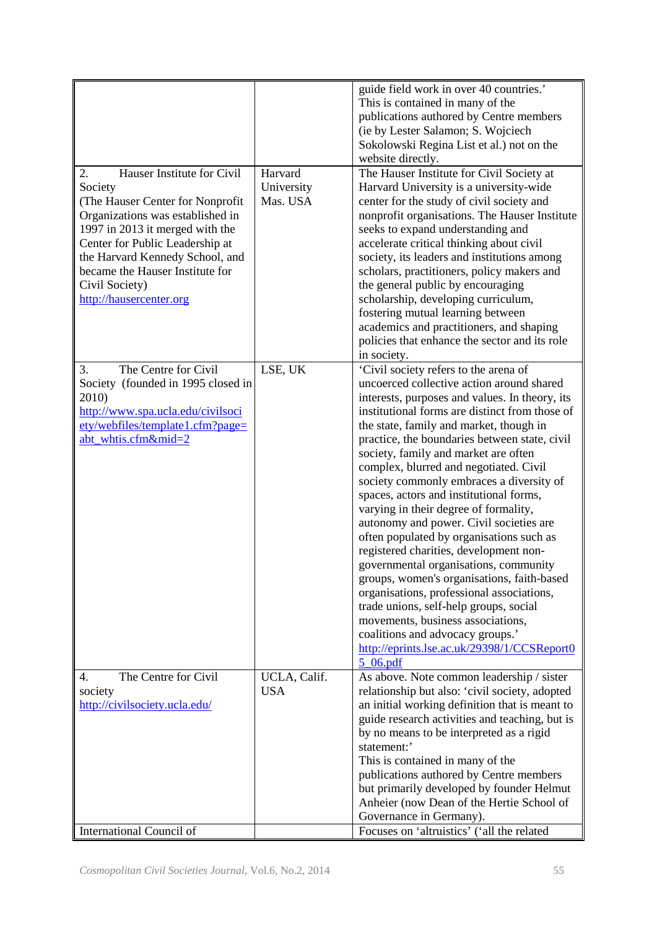| Hauser Institute for Civil<br>2.                                                                      | Harvard                    | guide field work in over 40 countries.'<br>This is contained in many of the<br>publications authored by Centre members<br>(ie by Lester Salamon; S. Wojciech<br>Sokolowski Regina List et al.) not on the<br>website directly.<br>The Hauser Institute for Civil Society at |
|-------------------------------------------------------------------------------------------------------|----------------------------|-----------------------------------------------------------------------------------------------------------------------------------------------------------------------------------------------------------------------------------------------------------------------------|
| Society<br>(The Hauser Center for Nonprofit<br>Organizations was established in                       | University<br>Mas. USA     | Harvard University is a university-wide<br>center for the study of civil society and<br>nonprofit organisations. The Hauser Institute                                                                                                                                       |
| 1997 in 2013 it merged with the<br>Center for Public Leadership at<br>the Harvard Kennedy School, and |                            | seeks to expand understanding and<br>accelerate critical thinking about civil<br>society, its leaders and institutions among                                                                                                                                                |
| became the Hauser Institute for<br>Civil Society)<br>http://hausercenter.org                          |                            | scholars, practitioners, policy makers and<br>the general public by encouraging<br>scholarship, developing curriculum,                                                                                                                                                      |
|                                                                                                       |                            | fostering mutual learning between<br>academics and practitioners, and shaping<br>policies that enhance the sector and its role<br>in society.                                                                                                                               |
| The Centre for Civil<br>3.<br>Society (founded in 1995 closed in                                      | LSE, UK                    | 'Civil society refers to the arena of<br>uncoerced collective action around shared                                                                                                                                                                                          |
| 2010)<br>http://www.spa.ucla.edu/civilsoci<br>ety/webfiles/template1.cfm?page=                        |                            | interests, purposes and values. In theory, its<br>institutional forms are distinct from those of<br>the state, family and market, though in                                                                                                                                 |
| abt_whtis.cfm∣=2                                                                                      |                            | practice, the boundaries between state, civil<br>society, family and market are often                                                                                                                                                                                       |
|                                                                                                       |                            | complex, blurred and negotiated. Civil<br>society commonly embraces a diversity of<br>spaces, actors and institutional forms,                                                                                                                                               |
|                                                                                                       |                            | varying in their degree of formality,<br>autonomy and power. Civil societies are                                                                                                                                                                                            |
|                                                                                                       |                            | often populated by organisations such as<br>registered charities, development non-<br>governmental organisations, community                                                                                                                                                 |
|                                                                                                       |                            | groups, women's organisations, faith-based<br>organisations, professional associations,                                                                                                                                                                                     |
|                                                                                                       |                            | trade unions, self-help groups, social<br>movements, business associations,<br>coalitions and advocacy groups.'                                                                                                                                                             |
|                                                                                                       |                            | http://eprints.lse.ac.uk/29398/1/CCSReport0<br>$5_06.pdf$                                                                                                                                                                                                                   |
| The Centre for Civil<br>4.<br>society<br>http://civilsociety.ucla.edu/                                | UCLA, Calif.<br><b>USA</b> | As above. Note common leadership / sister<br>relationship but also: 'civil society, adopted<br>an initial working definition that is meant to                                                                                                                               |
|                                                                                                       |                            | guide research activities and teaching, but is<br>by no means to be interpreted as a rigid<br>statement:'                                                                                                                                                                   |
|                                                                                                       |                            | This is contained in many of the<br>publications authored by Centre members                                                                                                                                                                                                 |
|                                                                                                       |                            | but primarily developed by founder Helmut<br>Anheier (now Dean of the Hertie School of<br>Governance in Germany).                                                                                                                                                           |
| International Council of                                                                              |                            | Focuses on 'altruistics' ('all the related                                                                                                                                                                                                                                  |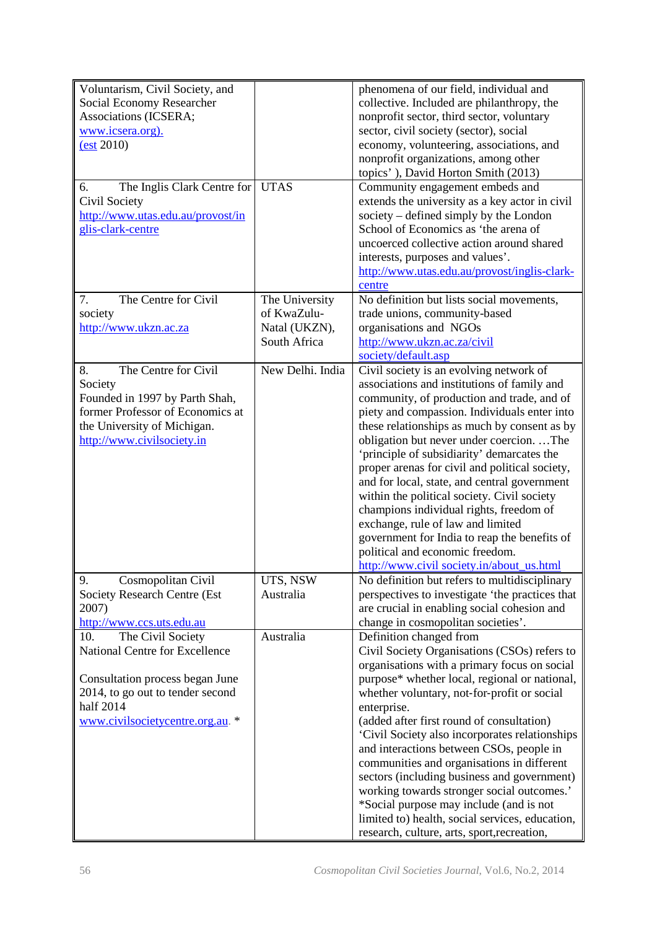| Voluntarism, Civil Society, and     |                  | phenomena of our field, individual and          |
|-------------------------------------|------------------|-------------------------------------------------|
| <b>Social Economy Researcher</b>    |                  | collective. Included are philanthropy, the      |
|                                     |                  |                                                 |
| Associations (ICSERA;               |                  | nonprofit sector, third sector, voluntary       |
| www.icsera.org).                    |                  | sector, civil society (sector), social          |
| (est 2010)                          |                  | economy, volunteering, associations, and        |
|                                     |                  | nonprofit organizations, among other            |
|                                     |                  | topics'), David Horton Smith (2013)             |
| The Inglis Clark Centre for<br>6.   | <b>UTAS</b>      | Community engagement embeds and                 |
| Civil Society                       |                  | extends the university as a key actor in civil  |
| http://www.utas.edu.au/provost/in   |                  | society – defined simply by the London          |
| glis-clark-centre                   |                  | School of Economics as 'the arena of            |
|                                     |                  | uncoerced collective action around shared       |
|                                     |                  |                                                 |
|                                     |                  | interests, purposes and values'.                |
|                                     |                  | http://www.utas.edu.au/provost/inglis-clark-    |
|                                     |                  | centre                                          |
| 7.<br>The Centre for Civil          | The University   | No definition but lists social movements,       |
| society                             | of KwaZulu-      | trade unions, community-based                   |
| http://www.ukzn.ac.za               | Natal (UKZN),    | organisations and NGOs                          |
|                                     | South Africa     | http://www.ukzn.ac.za/civil                     |
|                                     |                  | society/default.asp                             |
| The Centre for Civil<br>8.          | New Delhi. India | Civil society is an evolving network of         |
| Society                             |                  | associations and institutions of family and     |
| Founded in 1997 by Parth Shah,      |                  | community, of production and trade, and of      |
|                                     |                  |                                                 |
| former Professor of Economics at    |                  | piety and compassion. Individuals enter into    |
| the University of Michigan.         |                  | these relationships as much by consent as by    |
| http://www.civilsociety.in          |                  | obligation but never under coercion. The        |
|                                     |                  | 'principle of subsidiarity' demarcates the      |
|                                     |                  | proper arenas for civil and political society,  |
|                                     |                  | and for local, state, and central government    |
|                                     |                  | within the political society. Civil society     |
|                                     |                  | champions individual rights, freedom of         |
|                                     |                  | exchange, rule of law and limited               |
|                                     |                  |                                                 |
|                                     |                  | government for India to reap the benefits of    |
|                                     |                  | political and economic freedom.                 |
|                                     |                  | http://www.civil society.in/about_us.html       |
| 9.<br>Cosmopolitan Civil            | UTS, NSW         | No definition but refers to multidisciplinary   |
| <b>Society Research Centre (Est</b> | Australia        | perspectives to investigate 'the practices that |
| 2007)                               |                  | are crucial in enabling social cohesion and     |
| http://www.ccs.uts.edu.au           |                  | change in cosmopolitan societies'.              |
| The Civil Society<br>10.            | Australia        | Definition changed from                         |
| National Centre for Excellence      |                  | Civil Society Organisations (CSOs) refers to    |
|                                     |                  |                                                 |
|                                     |                  | organisations with a primary focus on social    |
| Consultation process began June     |                  | purpose* whether local, regional or national,   |
| 2014, to go out to tender second    |                  | whether voluntary, not-for-profit or social     |
| half 2014                           |                  | enterprise.                                     |
| www.civilsocietycentre.org.au. *    |                  | (added after first round of consultation)       |
|                                     |                  | 'Civil Society also incorporates relationships  |
|                                     |                  | and interactions between CSOs, people in        |
|                                     |                  | communities and organisations in different      |
|                                     |                  | sectors (including business and government)     |
|                                     |                  |                                                 |
|                                     |                  | working towards stronger social outcomes.'      |
|                                     |                  | *Social purpose may include (and is not         |
|                                     |                  | limited to) health, social services, education, |
|                                     |                  | research, culture, arts, sport, recreation,     |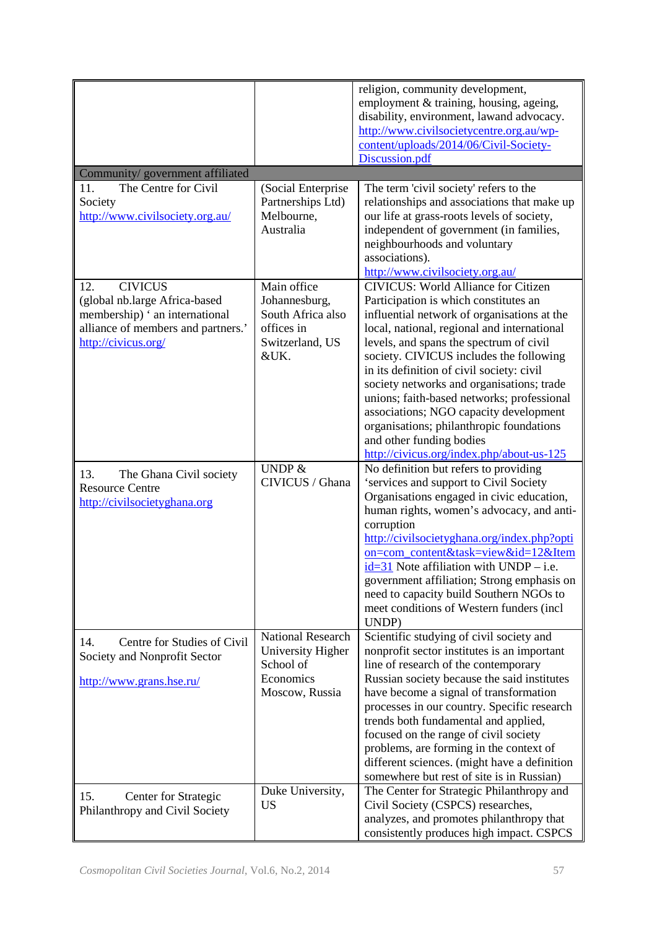|                                                                                                                                                       |                                                                                            | religion, community development,<br>employment & training, housing, ageing,<br>disability, environment, lawand advocacy.<br>http://www.civilsocietycentre.org.au/wp-<br>content/uploads/2014/06/Civil-Society-<br>Discussion.pdf                                                                                                                                                                                                                                                                                                                                               |
|-------------------------------------------------------------------------------------------------------------------------------------------------------|--------------------------------------------------------------------------------------------|--------------------------------------------------------------------------------------------------------------------------------------------------------------------------------------------------------------------------------------------------------------------------------------------------------------------------------------------------------------------------------------------------------------------------------------------------------------------------------------------------------------------------------------------------------------------------------|
| Community/government affiliated                                                                                                                       |                                                                                            |                                                                                                                                                                                                                                                                                                                                                                                                                                                                                                                                                                                |
| The Centre for Civil<br>11.<br>Society<br>http://www.civilsociety.org.au/                                                                             | (Social Enterprise<br>Partnerships Ltd)<br>Melbourne,<br>Australia                         | The term 'civil society' refers to the<br>relationships and associations that make up<br>our life at grass-roots levels of society,<br>independent of government (in families,<br>neighbourhoods and voluntary<br>associations).<br>http://www.civilsociety.org.au/                                                                                                                                                                                                                                                                                                            |
| <b>CIVICUS</b><br>12.<br>(global nb.large Africa-based<br>membership) ' an international<br>alliance of members and partners.'<br>http://civicus.org/ | Main office<br>Johannesburg,<br>South Africa also<br>offices in<br>Switzerland, US<br>&UK. | <b>CIVICUS: World Alliance for Citizen</b><br>Participation is which constitutes an<br>influential network of organisations at the<br>local, national, regional and international<br>levels, and spans the spectrum of civil<br>society. CIVICUS includes the following<br>in its definition of civil society: civil<br>society networks and organisations; trade<br>unions; faith-based networks; professional<br>associations; NGO capacity development<br>organisations; philanthropic foundations<br>and other funding bodies<br>http://civicus.org/index.php/about-us-125 |
| 13.<br>The Ghana Civil society<br><b>Resource Centre</b><br>http://civilsocietyghana.org                                                              | UNDP $&$<br>CIVICUS / Ghana                                                                | No definition but refers to providing<br>'services and support to Civil Society<br>Organisations engaged in civic education,<br>human rights, women's advocacy, and anti-<br>corruption<br>http://civilsocietyghana.org/index.php?opti<br>on=com_content&task=view&id=12&Item<br>$id=31$ Note affiliation with UNDP – i.e.<br>government affiliation; Strong emphasis on<br>need to capacity build Southern NGOs to<br>meet conditions of Western funders (incl.<br>UNDP)                                                                                                      |
| Centre for Studies of Civil<br>14.<br>Society and Nonprofit Sector<br>http://www.grans.hse.ru/                                                        | <b>National Research</b><br>University Higher<br>School of<br>Economics<br>Moscow, Russia  | Scientific studying of civil society and<br>nonprofit sector institutes is an important<br>line of research of the contemporary<br>Russian society because the said institutes<br>have become a signal of transformation<br>processes in our country. Specific research<br>trends both fundamental and applied,<br>focused on the range of civil society<br>problems, are forming in the context of<br>different sciences. (might have a definition<br>somewhere but rest of site is in Russian)                                                                               |
| 15.<br>Center for Strategic<br>Philanthropy and Civil Society                                                                                         | Duke University,<br><b>US</b>                                                              | The Center for Strategic Philanthropy and<br>Civil Society (CSPCS) researches,<br>analyzes, and promotes philanthropy that<br>consistently produces high impact. CSPCS                                                                                                                                                                                                                                                                                                                                                                                                         |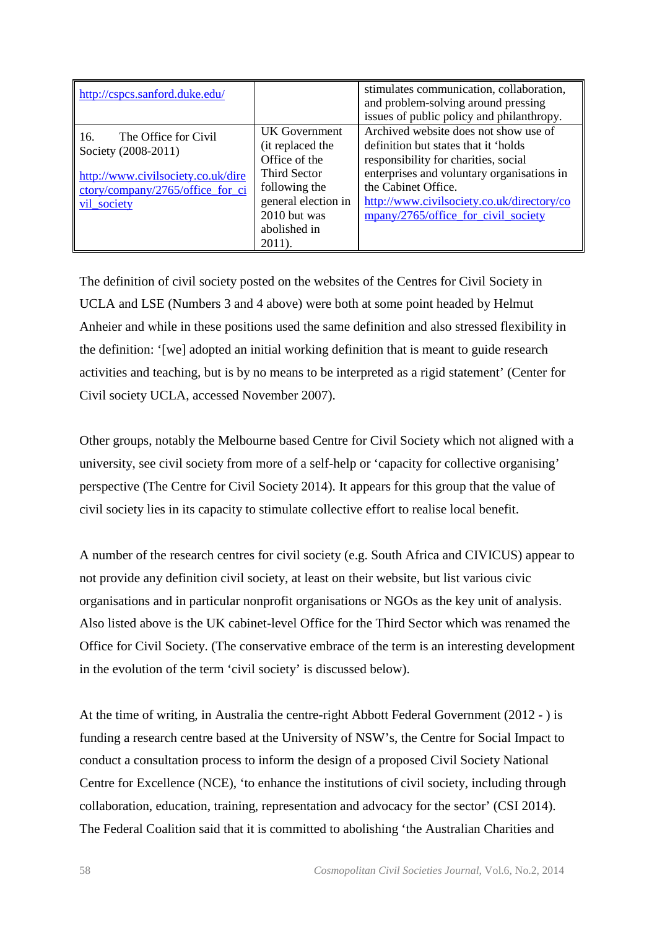| http://cspcs.sanford.duke.edu/     |                     | stimulates communication, collaboration,<br>and problem-solving around pressing |
|------------------------------------|---------------------|---------------------------------------------------------------------------------|
|                                    |                     | issues of public policy and philanthropy.                                       |
| The Office for Civil<br>16.        | UK Government       | Archived website does not show use of                                           |
| Society (2008-2011)                | (it replaced the    | definition but states that it 'holds'                                           |
|                                    | Office of the       | responsibility for charities, social                                            |
| http://www.civilsociety.co.uk/dire | <b>Third Sector</b> | enterprises and voluntary organisations in                                      |
| ctory/company/2765/office_for_ci   | following the       | the Cabinet Office.                                                             |
| vil_society                        | general election in | http://www.civilsociety.co.uk/directory/co                                      |
|                                    | $2010$ but was      | mpany/2765/office_for_civil_society                                             |
|                                    | abolished in        |                                                                                 |
|                                    | $2011$ ).           |                                                                                 |

The definition of civil society posted on the websites of the Centres for Civil Society in UCLA and LSE (Numbers 3 and 4 above) were both at some point headed by Helmut Anheier and while in these positions used the same definition and also stressed flexibility in the definition: '[we] adopted an initial working definition that is meant to guide research activities and teaching, but is by no means to be interpreted as a rigid statement' (Center for Civil society UCLA, accessed November 2007).

Other groups, notably the Melbourne based Centre for Civil Society which not aligned with a university, see civil society from more of a self-help or 'capacity for collective organising' perspective (The Centre for Civil Society 2014). It appears for this group that the value of civil society lies in its capacity to stimulate collective effort to realise local benefit.

A number of the research centres for civil society (e.g. South Africa and CIVICUS) appear to not provide any definition civil society, at least on their website, but list various civic organisations and in particular nonprofit organisations or NGOs as the key unit of analysis. Also listed above is the UK cabinet-level Office for the Third Sector which was renamed the Office for Civil Society. (The conservative embrace of the term is an interesting development in the evolution of the term 'civil society' is discussed below).

At the time of writing, in Australia the centre-right Abbott Federal Government (2012 - ) is funding a research centre based at the University of NSW's, the Centre for Social Impact to conduct a consultation process to inform the design of a proposed Civil Society National Centre for Excellence (NCE), 'to enhance the institutions of civil society, including through collaboration, education, training, representation and advocacy for the sector' (CSI 2014). The Federal Coalition said that it is committed to abolishing 'the Australian Charities and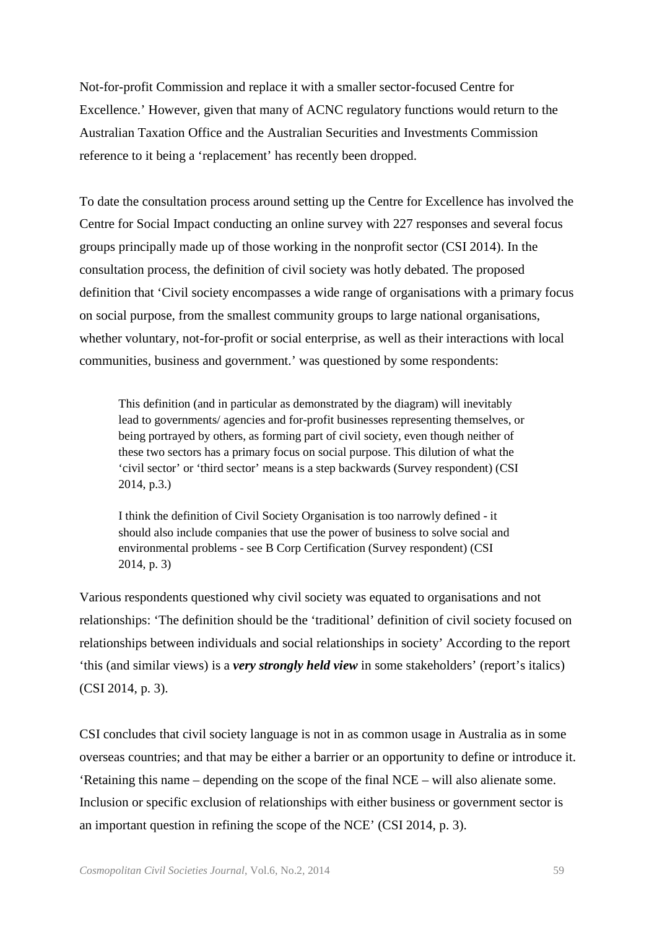Not-for-profit Commission and replace it with a smaller sector-focused Centre for Excellence.' However, given that many of ACNC regulatory functions would return to the Australian Taxation Office and the Australian Securities and Investments Commission reference to it being a 'replacement' has recently been dropped.

To date the consultation process around setting up the Centre for Excellence has involved the Centre for Social Impact conducting an online survey with 227 responses and several focus groups principally made up of those working in the nonprofit sector (CSI 2014). In the consultation process, the definition of civil society was hotly debated. The proposed definition that 'Civil society encompasses a wide range of organisations with a primary focus on social purpose, from the smallest community groups to large national organisations, whether voluntary, not-for-profit or social enterprise, as well as their interactions with local communities, business and government.' was questioned by some respondents:

This definition (and in particular as demonstrated by the diagram) will inevitably lead to governments/ agencies and for-profit businesses representing themselves, or being portrayed by others, as forming part of civil society, even though neither of these two sectors has a primary focus on social purpose. This dilution of what the 'civil sector' or 'third sector' means is a step backwards (Survey respondent) (CSI 2014, p.3.)

I think the definition of Civil Society Organisation is too narrowly defined - it should also include companies that use the power of business to solve social and environmental problems - see B Corp Certification (Survey respondent) (CSI 2014, p. 3)

Various respondents questioned why civil society was equated to organisations and not relationships: 'The definition should be the 'traditional' definition of civil society focused on relationships between individuals and social relationships in society' According to the report 'this (and similar views) is a *very strongly held view* in some stakeholders' (report's italics) (CSI 2014, p. 3).

CSI concludes that civil society language is not in as common usage in Australia as in some overseas countries; and that may be either a barrier or an opportunity to define or introduce it. 'Retaining this name – depending on the scope of the final NCE – will also alienate some. Inclusion or specific exclusion of relationships with either business or government sector is an important question in refining the scope of the NCE' (CSI 2014, p. 3).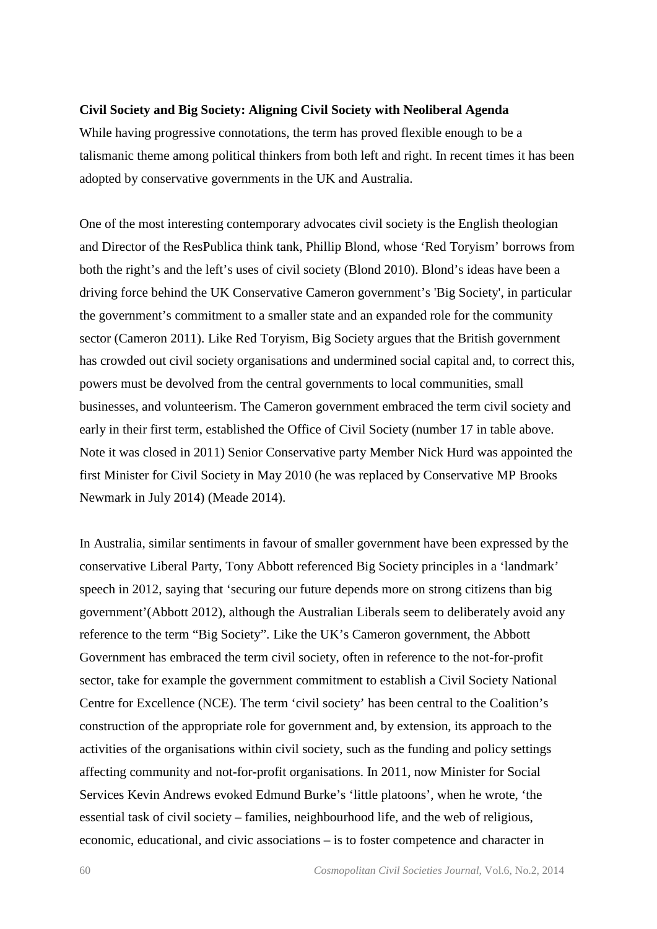#### **Civil Society and Big Society: Aligning Civil Society with Neoliberal Agenda**

While having progressive connotations, the term has proved flexible enough to be a talismanic theme among political thinkers from both left and right. In recent times it has been adopted by conservative governments in the UK and Australia.

One of the most interesting contemporary advocates civil society is the English theologian and Director of the ResPublica think tank, Phillip Blond, whose 'Red Toryism' borrows from both the right's and the left's uses of civil society (Blond 2010). Blond's ideas have been a driving force behind the UK Conservative Cameron government's 'Big Society', in particular the government's commitment to a smaller state and an expanded role for the community sector (Cameron 2011). Like Red Toryism, Big Society argues that the British government has crowded out civil society organisations and undermined social capital and, to correct this, powers must be devolved from the central governments to local communities, small businesses, and volunteerism. The Cameron government embraced the term civil society and early in their first term, established the Office of Civil Society (number 17 in table above. Note it was closed in 2011) Senior Conservative party Member Nick Hurd was appointed the first Minister for Civil Society in May 2010 (he was replaced by Conservative MP Brooks Newmark in July 2014) (Meade 2014).

In Australia, similar sentiments in favour of smaller government have been expressed by the conservative Liberal Party, Tony Abbott referenced Big Society principles in a 'landmark' speech in 2012, saying that 'securing our future depends more on strong citizens than big government'(Abbott 2012), although the Australian Liberals seem to deliberately avoid any reference to the term "Big Society". Like the UK's Cameron government, the Abbott Government has embraced the term civil society, often in reference to the not-for-profit sector, take for example the government commitment to establish a Civil Society National Centre for Excellence (NCE). The term 'civil society' has been central to the Coalition's construction of the appropriate role for government and, by extension, its approach to the activities of the organisations within civil society, such as the funding and policy settings affecting community and not-for-profit organisations. In 2011, now Minister for Social Services Kevin Andrews evoked Edmund Burke's 'little platoons', when he wrote, 'the essential task of civil society – families, neighbourhood life, and the web of religious, economic, educational, and civic associations – is to foster competence and character in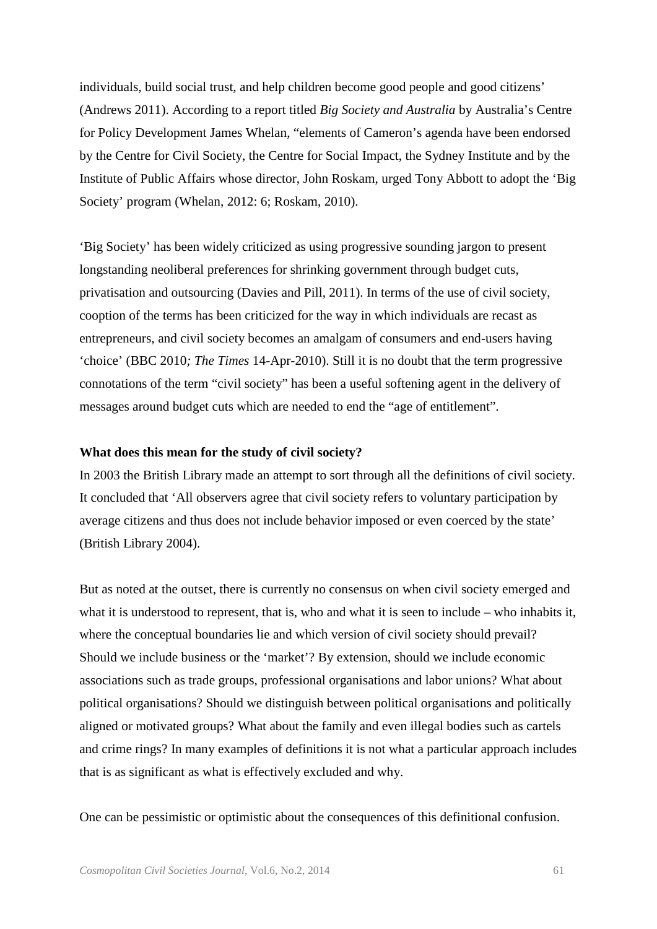individuals, build social trust, and help children become good people and good citizens' (Andrews 2011). According to a report titled *Big Society and Australia* by Australia's Centre for Policy Development James Whelan, "elements of Cameron's agenda have been endorsed by the Centre for Civil Society, the Centre for Social Impact, the Sydney Institute and by the Institute of Public Affairs whose director, John Roskam, urged Tony Abbott to adopt the 'Big Society' program (Whelan, 2012: 6; Roskam, 2010).

'Big Society' has been widely criticized as using progressive sounding jargon to present longstanding neoliberal preferences for shrinking government through budget cuts, privatisation and outsourcing (Davies and Pill, 2011). In terms of the use of civil society, cooption of the terms has been criticized for the way in which individuals are recast as entrepreneurs, and civil society becomes an amalgam of consumers and end-users having 'choice' (BBC 2010*; The Times* 14-Apr-2010). Still it is no doubt that the term progressive connotations of the term "civil society" has been a useful softening agent in the delivery of messages around budget cuts which are needed to end the "age of entitlement".

## **What does this mean for the study of civil society?**

In 2003 the British Library made an attempt to sort through all the definitions of civil society. It concluded that 'All observers agree that civil society refers to voluntary participation by average citizens and thus does not include behavior imposed or even coerced by the state' (British Library 2004).

But as noted at the outset, there is currently no consensus on when civil society emerged and what it is understood to represent, that is, who and what it is seen to include – who inhabits it, where the conceptual boundaries lie and which version of civil society should prevail? Should we include business or the 'market'? By extension, should we include economic associations such as trade groups, professional organisations and labor unions? What about political organisations? Should we distinguish between political organisations and politically aligned or motivated groups? What about the family and even illegal bodies such as cartels and crime rings? In many examples of definitions it is not what a particular approach includes that is as significant as what is effectively excluded and why.

One can be pessimistic or optimistic about the consequences of this definitional confusion.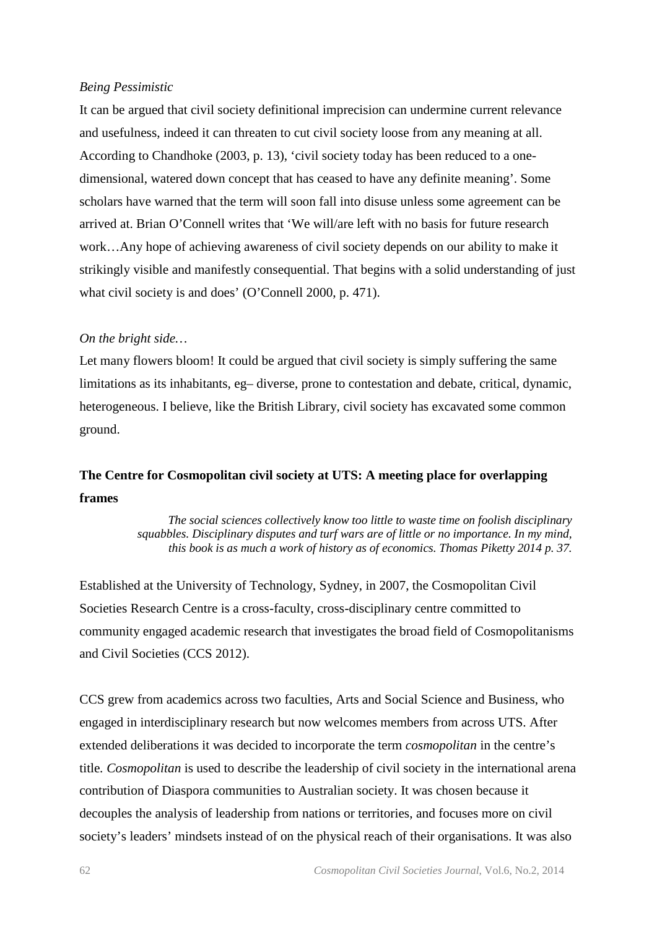## *Being Pessimistic*

It can be argued that civil society definitional imprecision can undermine current relevance and usefulness, indeed it can threaten to cut civil society loose from any meaning at all. According to Chandhoke (2003, p. 13), 'civil society today has been reduced to a onedimensional, watered down concept that has ceased to have any definite meaning'. Some scholars have warned that the term will soon fall into disuse unless some agreement can be arrived at. Brian O'Connell writes that 'We will/are left with no basis for future research work…Any hope of achieving awareness of civil society depends on our ability to make it strikingly visible and manifestly consequential. That begins with a solid understanding of just what civil society is and does' (O'Connell 2000, p. 471).

## *On the bright side…*

Let many flowers bloom! It could be argued that civil society is simply suffering the same limitations as its inhabitants, eg– diverse, prone to contestation and debate, critical, dynamic, heterogeneous. I believe, like the British Library, civil society has excavated some common ground.

## **The Centre for Cosmopolitan civil society at UTS: A meeting place for overlapping frames**

*The social sciences collectively know too little to waste time on foolish disciplinary squabbles. Disciplinary disputes and turf wars are of little or no importance. In my mind, this book is as much a work of history as of economics. Thomas Piketty 2014 p. 37.* 

Established at the University of Technology, Sydney, in 2007, the Cosmopolitan Civil Societies Research Centre is a cross-faculty, cross-disciplinary centre committed to community engaged academic research that investigates the broad field of Cosmopolitanisms and Civil Societies (CCS 2012).

CCS grew from academics across two faculties, Arts and Social Science and Business, who engaged in interdisciplinary research but now welcomes members from across UTS. After extended deliberations it was decided to incorporate the term *cosmopolitan* in the centre's title*. Cosmopolitan* is used to describe the leadership of civil society in the international arena contribution of Diaspora communities to Australian society. It was chosen because it decouples the analysis of leadership from nations or territories, and focuses more on civil society's leaders' mindsets instead of on the physical reach of their organisations. It was also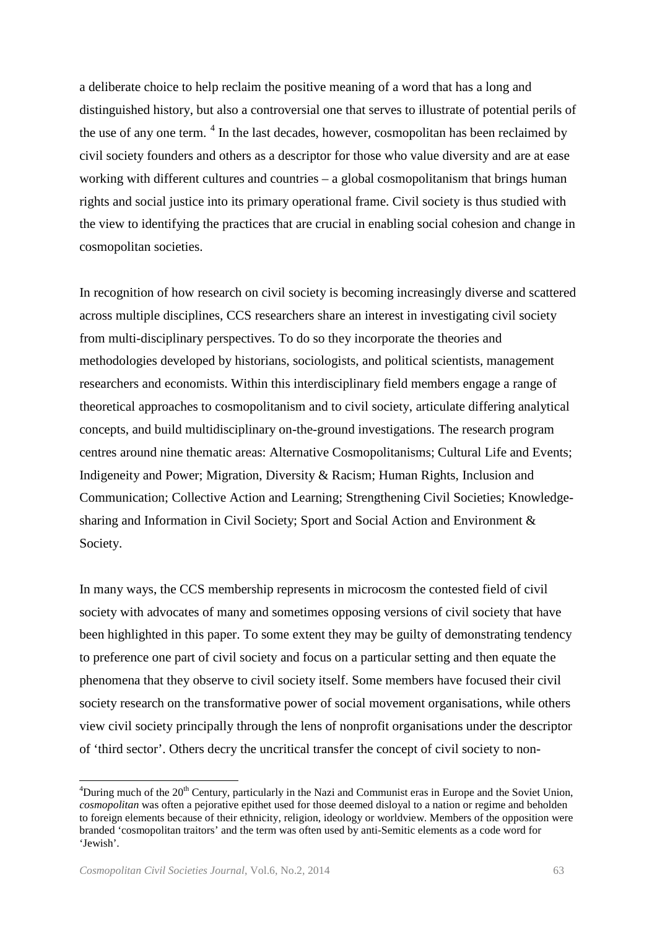a deliberate choice to help reclaim the positive meaning of a word that has a long and distinguished history, but also a controversial one that serves to illustrate of potential perils of the use of any one term.  $4 \text{ In the last decades, however, cosmopolitan has been recalained by }$  $4 \text{ In the last decades, however, cosmopolitan has been recalained by }$ civil society founders and others as a descriptor for those who value diversity and are at ease working with different cultures and countries – a global cosmopolitanism that brings human rights and social justice into its primary operational frame. Civil society is thus studied with the view to identifying the practices that are crucial in enabling social cohesion and change in cosmopolitan societies.

In recognition of how research on civil society is becoming increasingly diverse and scattered across multiple disciplines, CCS researchers share an interest in investigating civil society from multi-disciplinary perspectives. To do so they incorporate the theories and methodologies developed by historians, sociologists, and political scientists, management researchers and economists. Within this interdisciplinary field members engage a range of theoretical approaches to cosmopolitanism and to civil society, articulate differing analytical concepts, and build multidisciplinary on-the-ground investigations. The research program centres around nine thematic areas: Alternative Cosmopolitanisms; Cultural Life and Events; Indigeneity and Power; Migration, Diversity & Racism; Human Rights, Inclusion and Communication; Collective Action and Learning; Strengthening Civil Societies; Knowledgesharing and Information in Civil Society; Sport and Social Action and Environment & Society.

In many ways, the CCS membership represents in microcosm the contested field of civil society with advocates of many and sometimes opposing versions of civil society that have been highlighted in this paper. To some extent they may be guilty of demonstrating tendency to preference one part of civil society and focus on a particular setting and then equate the phenomena that they observe to civil society itself. Some members have focused their civil society research on the transformative power of social movement organisations, while others view civil society principally through the lens of nonprofit organisations under the descriptor of 'third sector'. Others decry the uncritical transfer the concept of civil society to non-

<span id="page-23-0"></span><sup>&</sup>lt;sup>4</sup>During much of the 20<sup>th</sup> Century, particularly in the Nazi and Communist eras in Europe and the Soviet Union, *cosmopolitan* was often a pejorative epithet used for those deemed disloyal to a nation or regime and beholden to foreign elements because of their ethnicity, religion, ideology or worldview. Members of the opposition were branded 'cosmopolitan traitors' and the term was often used by anti-Semitic elements as a code word for 'Jewish'.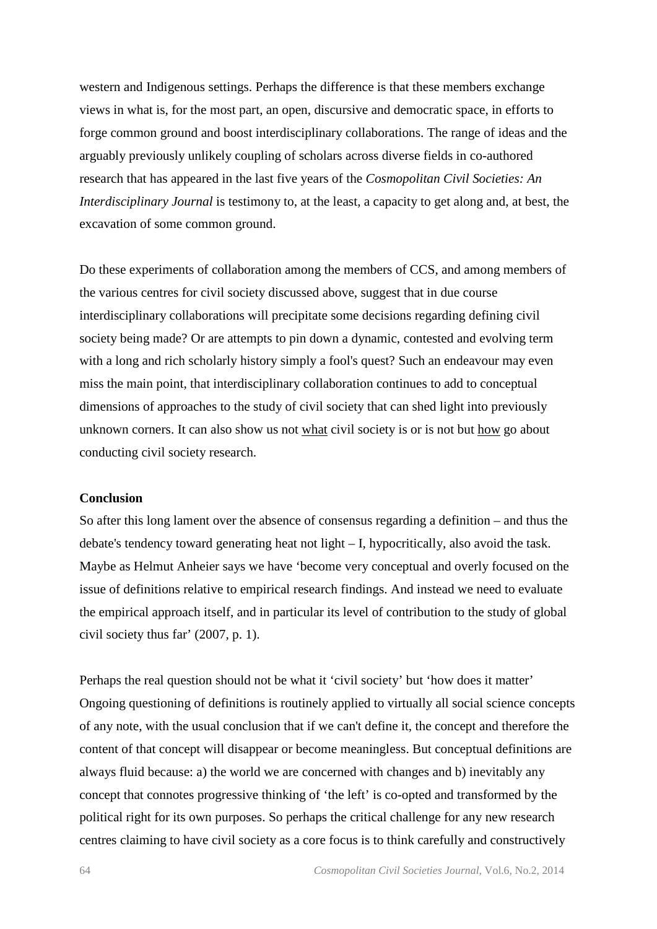western and Indigenous settings. Perhaps the difference is that these members exchange views in what is, for the most part, an open, discursive and democratic space, in efforts to forge common ground and boost interdisciplinary collaborations. The range of ideas and the arguably previously unlikely coupling of scholars across diverse fields in co-authored research that has appeared in the last five years of the *Cosmopolitan Civil Societies: An Interdisciplinary Journal* is testimony to, at the least, a capacity to get along and, at best, the excavation of some common ground.

Do these experiments of collaboration among the members of CCS, and among members of the various centres for civil society discussed above, suggest that in due course interdisciplinary collaborations will precipitate some decisions regarding defining civil society being made? Or are attempts to pin down a dynamic, contested and evolving term with a long and rich scholarly history simply a fool's quest? Such an endeavour may even miss the main point, that interdisciplinary collaboration continues to add to conceptual dimensions of approaches to the study of civil society that can shed light into previously unknown corners. It can also show us not what civil society is or is not but how go about conducting civil society research.

#### **Conclusion**

So after this long lament over the absence of consensus regarding a definition – and thus the debate's tendency toward generating heat not light – I, hypocritically, also avoid the task. Maybe as Helmut Anheier says we have 'become very conceptual and overly focused on the issue of definitions relative to empirical research findings. And instead we need to evaluate the empirical approach itself, and in particular its level of contribution to the study of global civil society thus far' (2007, p. 1).

Perhaps the real question should not be what it 'civil society' but 'how does it matter' Ongoing questioning of definitions is routinely applied to virtually all social science concepts of any note, with the usual conclusion that if we can't define it, the concept and therefore the content of that concept will disappear or become meaningless. But conceptual definitions are always fluid because: a) the world we are concerned with changes and b) inevitably any concept that connotes progressive thinking of 'the left' is co-opted and transformed by the political right for its own purposes. So perhaps the critical challenge for any new research centres claiming to have civil society as a core focus is to think carefully and constructively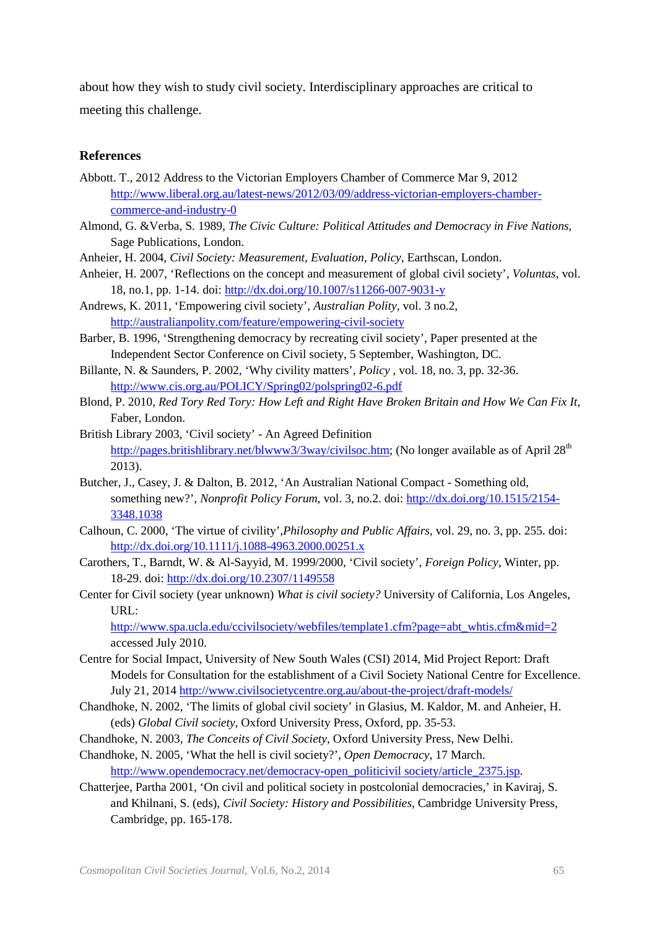about how they wish to study civil society. Interdisciplinary approaches are critical to meeting this challenge.

## **References**

- Abbott. T., 2012 Address to the Victorian Employers Chamber of Commerce Mar 9, 2012 [http://www.liberal.org.au/latest-news/2012/03/09/address-victorian-employers-chamber](http://www.liberal.org.au/latest-news/2012/03/09/address-victorian-employers-chamber-commerce-and-industry-0)[commerce-and-industry-0](http://www.liberal.org.au/latest-news/2012/03/09/address-victorian-employers-chamber-commerce-and-industry-0)
- Almond, G. &Verba, S. 1989, *The Civic Culture: Political Attitudes and Democracy in Five Nations*, Sage Publications, London.
- Anheier, H. 2004, *Civil Society: Measurement, Evaluation, Policy*, Earthscan, London.
- Anheier, H. 2007, 'Reflections on the concept and measurement of global civil society', *Voluntas*, vol. 18, no.1, pp. 1-14. doi:<http://dx.doi.org/10.1007/s11266-007-9031-y>
- Andrews, K. 2011, 'Empowering civil society', *Australian Polity,* vol. 3 no.2, <http://australianpolity.com/feature/empowering-civil-society>
- Barber, B. 1996, 'Strengthening democracy by recreating civil society', Paper presented at the Independent Sector Conference on Civil society, 5 September, Washington, DC.
- Billante, N. & Saunders, P. 2002, 'Why civility matters', *Policy* , vol. 18, no. 3, pp. 32-36. <http://www.cis.org.au/POLICY/Spring02/polspring02-6.pdf>
- Blond, P. 2010, *Red Tory Red Tory: How Left and Right Have Broken Britain and How We Can Fix It,*  Faber, London.
- British Library 2003, 'Civil society' An Agreed Definition [http://pages.britishlibrary.net/blwww3/3way/civilsoc.htm;](http://pages.britishlibrary.net/blwww3/3way/civilsoc.htm) (No longer available as of April 28<sup>th</sup> 2013).
- Butcher, J., Casey, J. & Dalton, B. 2012, 'An Australian National Compact Something old, something new?', *Nonprofit Policy Forum*, vol. 3, no.2. doi: [http://dx.doi.org/10.1515/2154-](http://dx.doi.org/10.1515/2154-3348.1038) [3348.1038](http://dx.doi.org/10.1515/2154-3348.1038)
- Calhoun, C. 2000, 'The virtue of civility',*Philosophy and Public Affairs*, vol. 29, no. 3, pp. 255. doi: <http://dx.doi.org/10.1111/j.1088-4963.2000.00251.x>
- Carothers, T., Barndt, W. & Al-Sayyid, M. 1999/2000, 'Civil society', *Foreign Policy,* Winter, pp. 18-29. doi:<http://dx.doi.org/10.2307/1149558>
- Center for Civil society (year unknown) *What is civil society?* University of California, Los Angeles, URL:

[http://www.spa.ucla.edu/ccivilsociety/webfiles/template1.cfm?page=abt\\_whtis.cfm&mid=2](http://www.spa.ucla.edu/ccivilsociety/webfiles/template1.cfm?page=abt_whtis.cfm&mid=2) accessed July 2010.

- Centre for Social Impact, University of New South Wales (CSI) 2014, Mid Project Report: Draft Models for Consultation for the establishment of a Civil Society National Centre for Excellence. July 21, 201[4 http://www.civilsocietycentre.org.au/about-the-project/draft-models/](http://www.civilsocietycentre.org.au/about-the-project/draft-models/)
- Chandhoke, N. 2002, 'The limits of global civil society' in Glasius, M. Kaldor, M. and Anheier, H. (eds) *Global Civil society*, Oxford University Press, Oxford, pp. 35-53.
- Chandhoke, N. 2003, *The Conceits of Civil Society*, Oxford University Press, New Delhi.
- Chandhoke, N. 2005, 'What the hell is civil society?', *Open Democracy*, 17 March. [http://www.opendemocracy.net/democracy-open\\_politicivil society/article\\_2375.jsp.](http://www.opendemocracy.net/democracy-open_politics/article_2375.jsp)
- Chatterjee, Partha 2001, 'On civil and political society in postcolonial democracies,' in Kaviraj, S. and Khilnani, S. (eds), *Civil Society: History and Possibilities*, Cambridge University Press, Cambridge, pp. 165-178.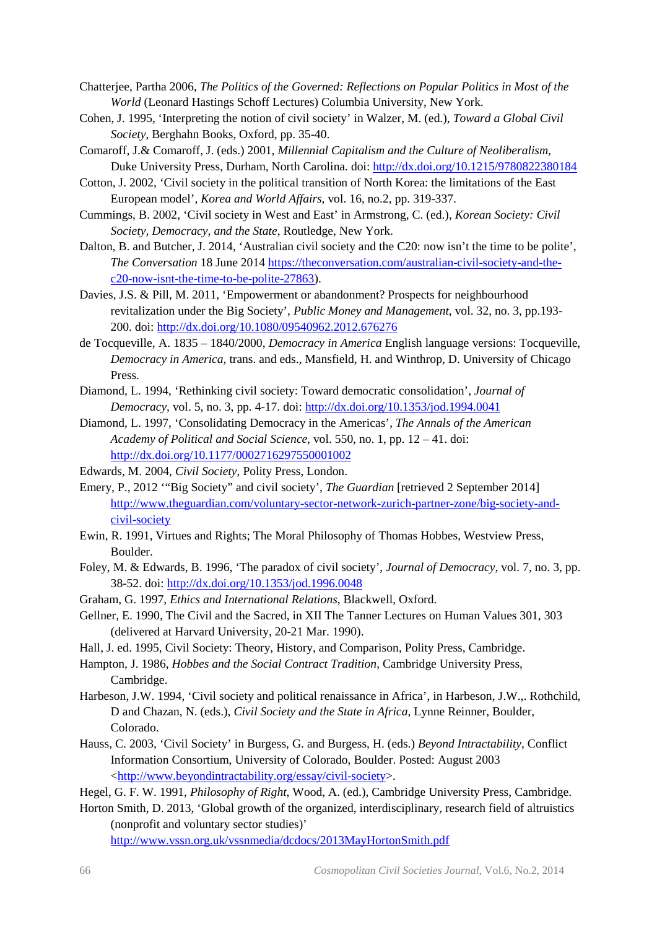- Chatterjee, Partha 2006, *The Politics of the Governed: Reflections on Popular Politics in Most of the World* (Leonard Hastings Schoff Lectures) Columbia University, New York.
- Cohen, J. 1995, 'Interpreting the notion of civil society' in Walzer, M. (ed.), *Toward a Global Civil Society*, Berghahn Books, Oxford, pp. 35-40.
- Comaroff, J.& Comaroff, J. (eds.) 2001, *Millennial Capitalism and the Culture of Neoliberalism*, Duke University Press, Durham, North Carolina. doi:<http://dx.doi.org/10.1215/9780822380184>
- Cotton, J. 2002, 'Civil society in the political transition of North Korea: the limitations of the East European model', *Korea and World Affairs*, vol. 16, no.2, pp. 319-337.
- Cummings, B. 2002, 'Civil society in West and East' in Armstrong, C. (ed.), *Korean Society: Civil Society, Democracy, and the State*, Routledge, New York.
- Dalton, B. and Butcher, J. 2014, 'Australian civil society and the C20: now isn't the time to be polite', *The Conversation* 18 June 2014 [https://theconversation.com/australian-civil-society-and-the](https://theconversation.com/australian-civil-society-and-the-c20-now-isnt-the-time-to-be-polite-27863)[c20-now-isnt-the-time-to-be-polite-27863\)](https://theconversation.com/australian-civil-society-and-the-c20-now-isnt-the-time-to-be-polite-27863).
- Davies, J.S. & Pill, M. 2011, 'Empowerment or abandonment? Prospects for neighbourhood revitalization under the Big Society', *Public Money and Management*, vol. 32, no. 3, pp.193- 200. doi:<http://dx.doi.org/10.1080/09540962.2012.676276>
- de Tocqueville, A. 1835 1840/2000, *Democracy in America* English language versions: Tocqueville, *Democracy in America,* trans. and eds., Mansfield, H. and Winthrop, D. University of Chicago Press.
- Diamond, L. 1994, 'Rethinking civil society: Toward democratic consolidation', *Journal of Democracy*, vol. 5, no. 3, pp. 4-17. doi:<http://dx.doi.org/10.1353/jod.1994.0041>
- Diamond, L. 1997, 'Consolidating Democracy in the Americas', *The Annals of the American Academy of Political and Social Science*, vol. 550, no. 1, pp. 12 – 41. doi: <http://dx.doi.org/10.1177/0002716297550001002>
- Edwards, M. 2004, *Civil Society*, Polity Press, London.
- Emery, P., 2012 '"Big Society" and civil society', *The Guardian* [retrieved 2 September 2014] [http://www.theguardian.com/voluntary-sector-network-zurich-partner-zone/big-society-and](http://www.theguardian.com/voluntary-sector-network-zurich-partner-zone/big-society-and-civil-society)[civil-society](http://www.theguardian.com/voluntary-sector-network-zurich-partner-zone/big-society-and-civil-society)
- Ewin, R. 1991, Virtues and Rights; The Moral Philosophy of Thomas Hobbes, Westview Press, Boulder.
- Foley, M. & Edwards, B. 1996, 'The paradox of civil society', *Journal of Democracy*, vol. 7, no. 3, pp. 38-52. doi:<http://dx.doi.org/10.1353/jod.1996.0048>
- Graham, G. 1997, *Ethics and International Relations*, Blackwell, Oxford.
- Gellner, E. 1990, The Civil and the Sacred, in XII The Tanner Lectures on Human Values 301, 303 (delivered at Harvard University, 20-21 Mar. 1990).
- Hall, J. ed. 1995, Civil Society: Theory, History, and Comparison, Polity Press, Cambridge.
- Hampton, J. 1986, *Hobbes and the Social Contract Tradition*, Cambridge University Press, Cambridge.
- Harbeson, J.W. 1994, 'Civil society and political renaissance in Africa', in Harbeson, J.W.,. Rothchild, D and Chazan, N. (eds.), *Civil Society and the State in Africa,* Lynne Reinner, Boulder, Colorado.
- Hauss, C. 2003, 'Civil Society' in Burgess, G. and Burgess, H. (eds.) *Beyond Intractability*, Conflict Information Consortium, University of Colorado, Boulder. Posted: August 2003 <http://www.beyondintractability.org/essay/civil-society>.
- Hegel, G. F. W. 1991, *Philosophy of Right*, Wood, A. (ed.), Cambridge University Press, Cambridge.
- Horton Smith, D. 2013, 'Global growth of the organized, interdisciplinary, research field of altruistics (nonprofit and voluntary sector studies)'

<http://www.vssn.org.uk/vssnmedia/dcdocs/2013MayHortonSmith.pdf>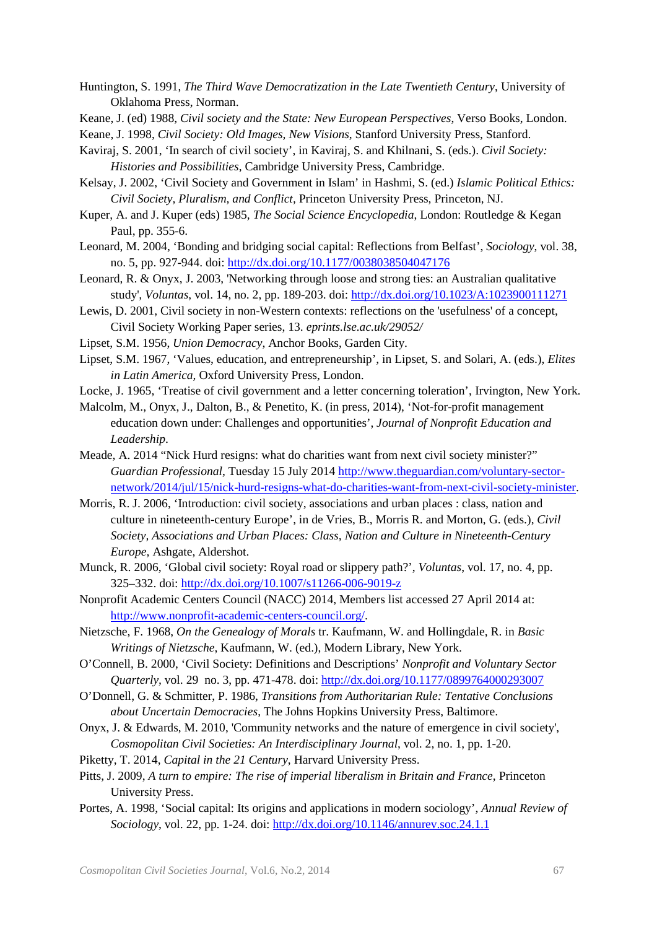Huntington, S. 1991, *The Third Wave Democratization in the Late Twentieth Century*, University of Oklahoma Press, Norman.

- Keane, J. (ed) 1988, *Civil society and the State: New European Perspectives*, Verso Books, London.
- Keane, J. 1998, *Civil Society: Old Images, New Visions*, Stanford University Press, Stanford.
- Kaviraj, S. 2001, 'In search of civil society', in Kaviraj, S. and Khilnani, S. (eds.). *Civil Society: Histories and Possibilities*, Cambridge University Press, Cambridge.
- Kelsay, J. 2002, 'Civil Society and Government in Islam' in Hashmi, S. (ed.) *Islamic Political Ethics: Civil Society, Pluralism, and Conflict,* Princeton University Press, Princeton, NJ.
- Kuper, A. and J. Kuper (eds) 1985*, The Social Science Encyclopedia*, London: Routledge & Kegan Paul, pp. 355-6.
- Leonard, M. 2004, 'Bonding and bridging social capital: Reflections from Belfast', *Sociology*, vol. 38, no. 5, pp. 927-944. doi:<http://dx.doi.org/10.1177/0038038504047176>
- Leonard, R. & Onyx, J. 2003, 'Networking through loose and strong ties: an Australian qualitative study'*, Voluntas*, vol. 14, no. 2, pp. 189-203. doi:<http://dx.doi.org/10.1023/A:1023900111271>
- Lewis, D. 2001, Civil society in non-Western contexts: reflections on the 'usefulness' of a concept, Civil Society Working Paper series, 13. *eprints.lse.ac.uk/29052/*
- Lipset, S.M. 1956, *Union Democracy*, Anchor Books, Garden City.
- Lipset, S.M. 1967, 'Values, education, and entrepreneurship', in Lipset, S. and Solari, A. (eds.), *Elites in Latin America,* Oxford University Press, London.
- Locke, J. 1965, 'Treatise of civil government and a letter concerning toleration', Irvington, New York.
- Malcolm, M., Onyx, J., Dalton, B., & Penetito, K. (in press, 2014), 'Not-for-profit management education down under: Challenges and opportunities', *Journal of Nonprofit Education and Leadership*.
- Meade, A. 2014 "Nick Hurd resigns: what do charities want from next civil society minister?" *Guardian Professional*, Tuesday 15 July 2014 [http://www.theguardian.com/voluntary-sector](http://www.theguardian.com/voluntary-sector-network/2014/jul/15/nick-hurd-resigns-what-do-charities-want-from-next-civil-society-minister)[network/2014/jul/15/nick-hurd-resigns-what-do-charities-want-from-next-civil-society-minister.](http://www.theguardian.com/voluntary-sector-network/2014/jul/15/nick-hurd-resigns-what-do-charities-want-from-next-civil-society-minister)
- Morris, R. J. 2006, 'Introduction: civil society, associations and urban places : class, nation and culture in nineteenth-century Europe', in de Vries, B., Morris R. and Morton, G. (eds.), *Civil Society, Associations and Urban Places: Class, Nation and Culture in Nineteenth-Century Europe,* Ashgate, Aldershot.
- Munck, R. 2006, 'Global civil society: Royal road or slippery path?', *Voluntas*, vol. 17, no. 4, pp. 325–332. doi:<http://dx.doi.org/10.1007/s11266-006-9019-z>
- Nonprofit Academic Centers Council (NACC) 2014, Members list accessed 27 April 2014 at: [http://www.nonprofit-academic-centers-council.org/.](http://www.nonprofit-academic-centers-council.org/)
- Nietzsche, F. 1968, *On the Genealogy of Morals* tr. Kaufmann, W. and Hollingdale, R. in *Basic Writings of Nietzsche*, Kaufmann, W. (ed.), Modern Library, New York.
- O'Connell, B. 2000, 'Civil Society: Definitions and Descriptions' *Nonprofit and Voluntary Sector Quarterly,* vol. 29 no. 3, pp. 471-478. doi:<http://dx.doi.org/10.1177/0899764000293007>
- O'Donnell, G. & Schmitter, P. 1986, *Transitions from Authoritarian Rule: Tentative Conclusions about Uncertain Democracies*, The Johns Hopkins University Press, Baltimore.
- Onyx, J. & Edwards, M. 2010, 'Community networks and the nature of emergence in civil society', *Cosmopolitan Civil Societies: An Interdisciplinary Journal*, vol. 2, no. 1, pp. 1-20.
- Piketty, T. 2014, *Capital in the 21 Century*, Harvard University Press.
- Pitts, J. 2009, *A turn to empire: The rise of imperial liberalism in Britain and France*, Princeton University Press.
- Portes, A. 1998, 'Social capital: Its origins and applications in modern sociology', *Annual Review of Sociology*, vol. 22, pp. 1-24. doi:<http://dx.doi.org/10.1146/annurev.soc.24.1.1>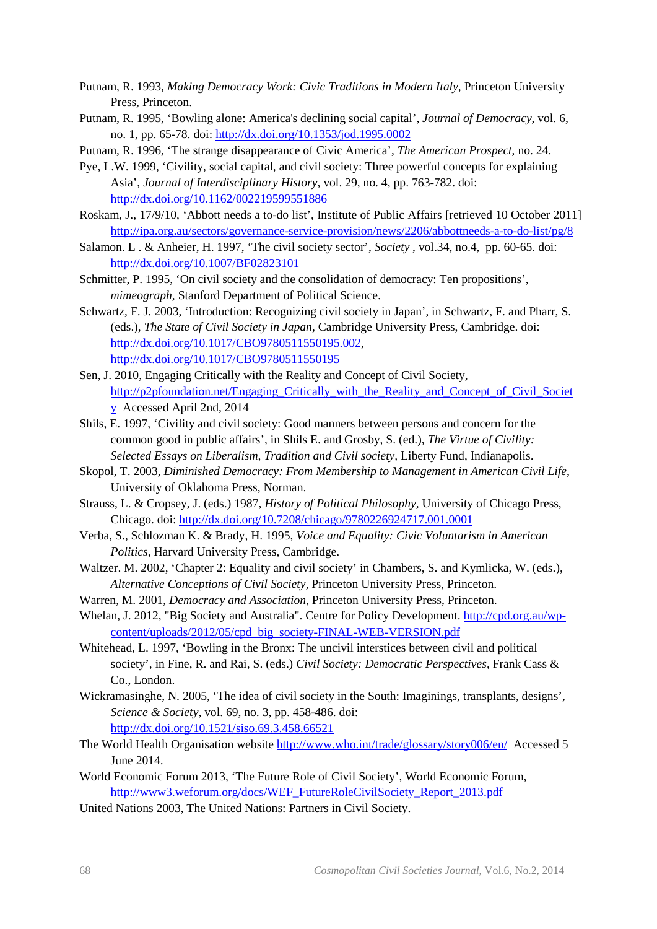- Putnam, R. 1993, *Making Democracy Work: Civic Traditions in Modern Italy*, Princeton University Press, Princeton.
- Putnam, R. 1995, 'Bowling alone: America's declining social capital', *Journal of Democracy*, vol. 6, no. 1, pp. 65-78. doi:<http://dx.doi.org/10.1353/jod.1995.0002>
- Putnam, R. 1996, 'The strange disappearance of Civic America', *The American Prospect*, no. 24.
- Pye, L.W. 1999, 'Civility, social capital, and civil society: Three powerful concepts for explaining Asia', *Journal of Interdisciplinary History*, vol. 29, no. 4, pp. 763-782. doi: <http://dx.doi.org/10.1162/002219599551886>
- Roskam, J., 17/9/10, 'Abbott needs a to-do list', Institute of Public Affairs [retrieved 10 October 2011] <http://ipa.org.au/sectors/governance-service-provision/news/2206/abbottneeds-a-to-do-list/pg/8>
- Salamon. L . & Anheier, H. 1997, 'The civil society sector', *Society* , vol.34, no.4, pp. 60‐65. doi: <http://dx.doi.org/10.1007/BF02823101>
- Schmitter, P. 1995, 'On civil society and the consolidation of democracy: Ten propositions', *mimeograph*, Stanford Department of Political Science.
- Schwartz, F. J. 2003, 'Introduction: Recognizing civil society in Japan', in Schwartz, F. and Pharr, S. (eds.), *The State of Civil Society in Japan,* Cambridge University Press, Cambridge. doi: [http://dx.doi.org/10.1017/CBO9780511550195.002,](http://dx.doi.org/10.1017/CBO9780511550195.002) <http://dx.doi.org/10.1017/CBO9780511550195>
- Sen, J. 2010, Engaging Critically with the Reality and Concept of Civil Society, [http://p2pfoundation.net/Engaging\\_Critically\\_with\\_the\\_Reality\\_and\\_Concept\\_of\\_Civil\\_Societ](http://p2pfoundation.net/Engaging_Critically_with_the_Reality_and_Concept_of_Civil_Society) [y](http://p2pfoundation.net/Engaging_Critically_with_the_Reality_and_Concept_of_Civil_Society) Accessed April 2nd, 2014
- Shils, E. 1997, 'Civility and civil society: Good manners between persons and concern for the common good in public affairs', in Shils E. and Grosby, S. (ed.), *The Virtue of Civility: Selected Essays on Liberalism, Tradition and Civil society,* Liberty Fund, Indianapolis.
- Skopol, T. 2003, *Diminished Democracy: From Membership to Management in American Civil Life*, University of Oklahoma Press, Norman.
- Strauss, L. & Cropsey, J. (eds.) 1987, *History of Political Philosophy,* University of Chicago Press, Chicago. doi:<http://dx.doi.org/10.7208/chicago/9780226924717.001.0001>
- Verba, S., Schlozman K. & Brady, H. 1995, *Voice and Equality: Civic Voluntarism in American Politics*, Harvard University Press, Cambridge.
- Waltzer. M. 2002, 'Chapter 2: Equality and civil society' in Chambers, S. and Kymlicka, W. (eds.), *Alternative Conceptions of Civil Society,* Princeton University Press, Princeton.
- Warren, M. 2001, *Democracy and Association*, Princeton University Press, Princeton.
- Whelan, J. 2012, "Big Society and Australia". Centre for Policy Development. [http://cpd.org.au/wp](http://cpd.org.au/wp-content/uploads/2012/05/cpd_big_society-FINAL-WEB-VERSION.pdf)[content/uploads/2012/05/cpd\\_big\\_society-FINAL-WEB-VERSION.pdf](http://cpd.org.au/wp-content/uploads/2012/05/cpd_big_society-FINAL-WEB-VERSION.pdf)
- Whitehead, L. 1997, 'Bowling in the Bronx: The uncivil interstices between civil and political society', in Fine, R. and Rai, S. (eds.) *Civil Society: Democratic Perspectives*, Frank Cass & Co., London.
- Wickramasinghe, N. 2005, 'The idea of civil society in the South: Imaginings, transplants, designs', *Science & Society*, vol. 69, no. 3, pp. 458-486. doi: <http://dx.doi.org/10.1521/siso.69.3.458.66521>
- The World Health Organisation websit[e http://www.who.int/trade/glossary/story006/en/](http://www.who.int/trade/glossary/story006/en/) Accessed 5 June 2014.
- World Economic Forum 2013, 'The Future Role of Civil Society', World Economic Forum, [http://www3.weforum.org/docs/WEF\\_FutureRoleCivilSociety\\_Report\\_2013.pdf](http://www3.weforum.org/docs/WEF_FutureRoleCivilSociety_Report_2013.pdf)
- United Nations 2003, The United Nations: Partners in Civil Society.